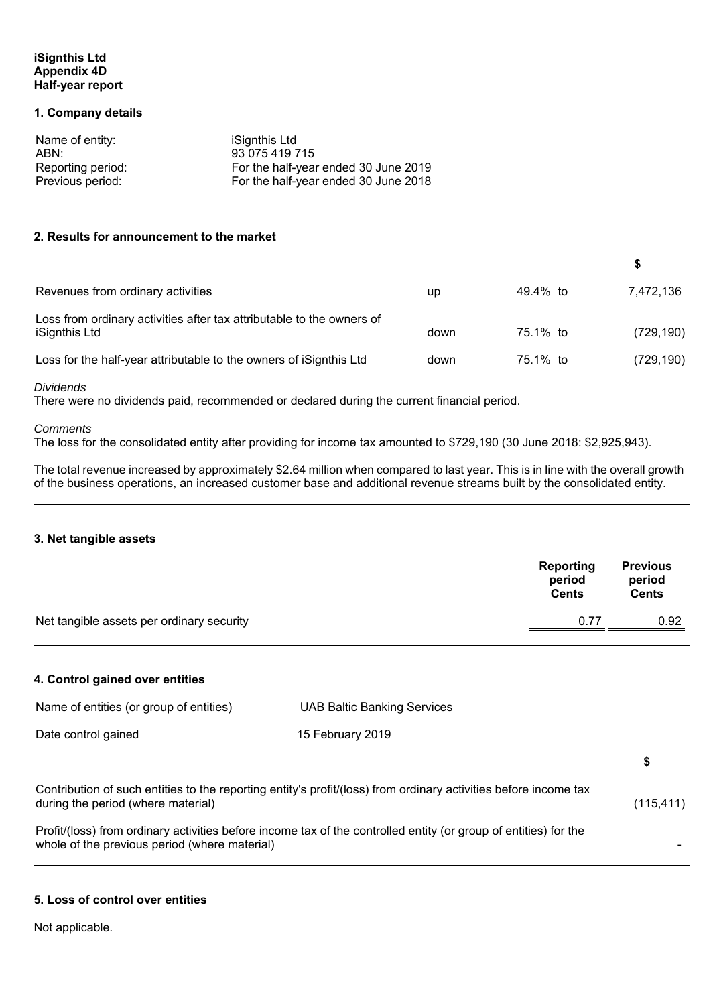# **iSignthis Ltd Appendix 4D Half-year report**

### **1. Company details**

| Name of entity:   | iSignthis Ltd                        |
|-------------------|--------------------------------------|
| ABN:              | 93 075 419 715                       |
| Reporting period: | For the half-year ended 30 June 2019 |
| Previous period:  | For the half-year ended 30 June 2018 |

## **2. Results for announcement to the market**

| Revenues from ordinary activities                                                      | up   | 49.4% to | 7,472,136  |
|----------------------------------------------------------------------------------------|------|----------|------------|
| Loss from ordinary activities after tax attributable to the owners of<br>iSignthis Ltd | down | 75.1% to | (729, 190) |
| Loss for the half-year attributable to the owners of iSignthis Ltd                     | down | 75.1% to | (729, 190) |

*Dividends* 

There were no dividends paid, recommended or declared during the current financial period.

#### *Comments*

The loss for the consolidated entity after providing for income tax amounted to \$729,190 (30 June 2018: \$2,925,943).

The total revenue increased by approximately \$2.64 million when compared to last year. This is in line with the overall growth of the business operations, an increased customer base and additional revenue streams built by the consolidated entity.

#### **3. Net tangible assets**

|                                           | Reporting<br>period<br><b>Cents</b> | <b>Previous</b><br>period<br>Cents |
|-------------------------------------------|-------------------------------------|------------------------------------|
| Net tangible assets per ordinary security | 0.77                                | 0.92                               |

# **4. Control gained over entities**

| Name of entities (or group of entities)       | <b>UAB Baltic Banking Services</b>                                                                               |            |
|-----------------------------------------------|------------------------------------------------------------------------------------------------------------------|------------|
| Date control gained                           | 15 February 2019                                                                                                 |            |
|                                               |                                                                                                                  | S          |
| during the period (where material)            | Contribution of such entities to the reporting entity's profit/(loss) from ordinary activities before income tax | (115, 411) |
| whole of the previous period (where material) | Profit/(loss) from ordinary activities before income tax of the controlled entity (or group of entities) for the |            |

# **5. Loss of control over entities**

Not applicable.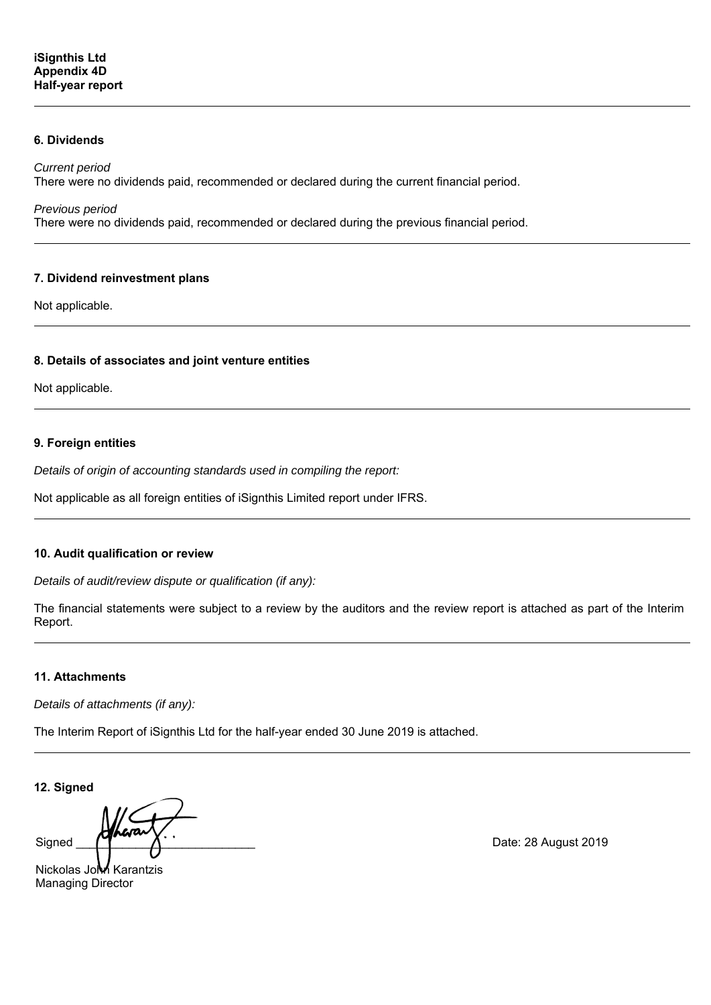# **6. Dividends**

*Current period* 

There were no dividends paid, recommended or declared during the current financial period.

*Previous period* 

There were no dividends paid, recommended or declared during the previous financial period.

#### **7. Dividend reinvestment plans**

Not applicable.

# **8. Details of associates and joint venture entities**

Not applicable.

# **9. Foreign entities**

*Details of origin of accounting standards used in compiling the report:* 

Not applicable as all foreign entities of iSignthis Limited report under IFRS.

#### **10. Audit qualification or review**

*Details of audit/review dispute or qualification (if any):* 

The financial statements were subject to a review by the auditors and the review report is attached as part of the Interim Report.

# **11. Attachments**

*Details of attachments (if any):* 

The Interim Report of iSignthis Ltd for the half-year ended 30 June 2019 is attached.

**12. Signed** 

Signed  $\sqrt{4}$ 

Nickolas John Karantzis Managing Director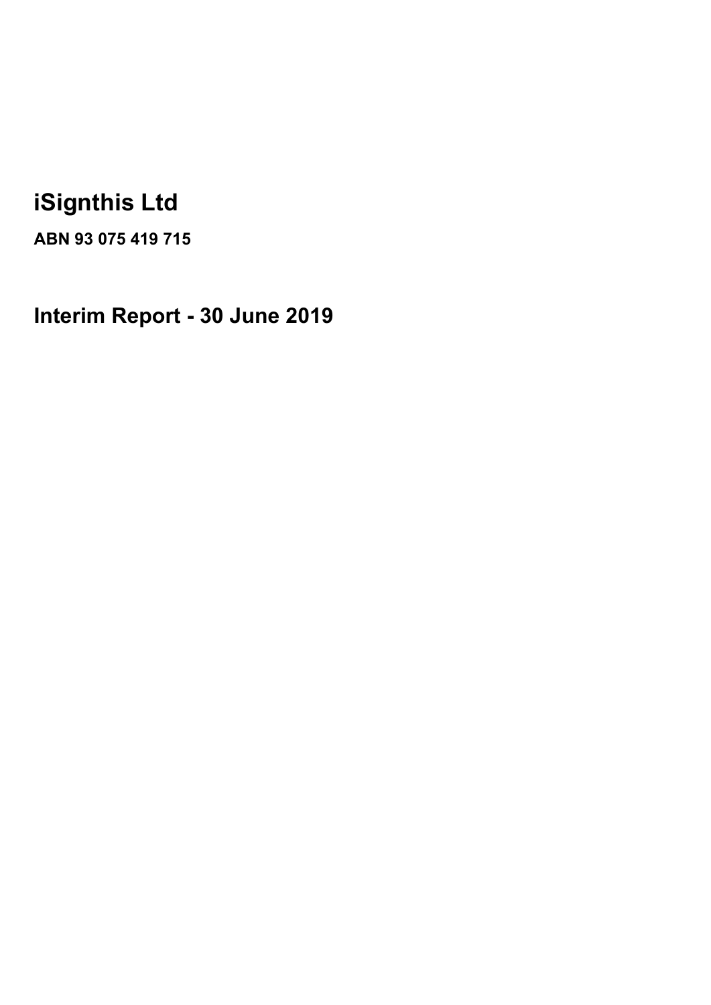# **iSignthis Ltd**

**ABN 93 075 419 715** 

**Interim Report - 30 June 2019**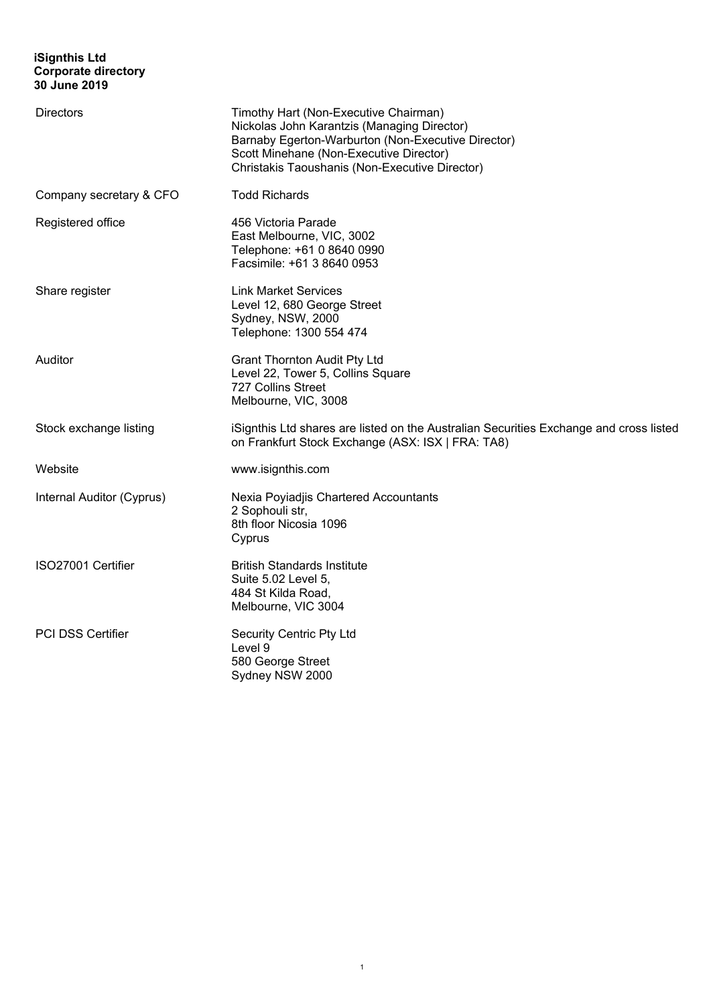# **iSignthis Ltd Corporate directory 30 June 2019**

| Directors                 | Timothy Hart (Non-Executive Chairman)<br>Nickolas John Karantzis (Managing Director)<br>Barnaby Egerton-Warburton (Non-Executive Director)<br>Scott Minehane (Non-Executive Director)<br>Christakis Taoushanis (Non-Executive Director) |
|---------------------------|-----------------------------------------------------------------------------------------------------------------------------------------------------------------------------------------------------------------------------------------|
| Company secretary & CFO   | <b>Todd Richards</b>                                                                                                                                                                                                                    |
| Registered office         | 456 Victoria Parade<br>East Melbourne, VIC, 3002<br>Telephone: +61 0 8640 0990<br>Facsimile: +61 3 8640 0953                                                                                                                            |
| Share register            | <b>Link Market Services</b><br>Level 12, 680 George Street<br>Sydney, NSW, 2000<br>Telephone: 1300 554 474                                                                                                                              |
| Auditor                   | <b>Grant Thornton Audit Pty Ltd</b><br>Level 22, Tower 5, Collins Square<br>727 Collins Street<br>Melbourne, VIC, 3008                                                                                                                  |
| Stock exchange listing    | iSignthis Ltd shares are listed on the Australian Securities Exchange and cross listed<br>on Frankfurt Stock Exchange (ASX: ISX   FRA: TA8)                                                                                             |
| Website                   | www.isignthis.com                                                                                                                                                                                                                       |
| Internal Auditor (Cyprus) | Nexia Poyiadjis Chartered Accountants<br>2 Sophouli str,<br>8th floor Nicosia 1096<br>Cyprus                                                                                                                                            |
| ISO27001 Certifier        | <b>British Standards Institute</b><br>Suite 5.02 Level 5,<br>484 St Kilda Road,<br>Melbourne, VIC 3004                                                                                                                                  |
| PCI DSS Certifier         | Security Centric Pty Ltd<br>Level 9<br>580 George Street<br>Sydney NSW 2000                                                                                                                                                             |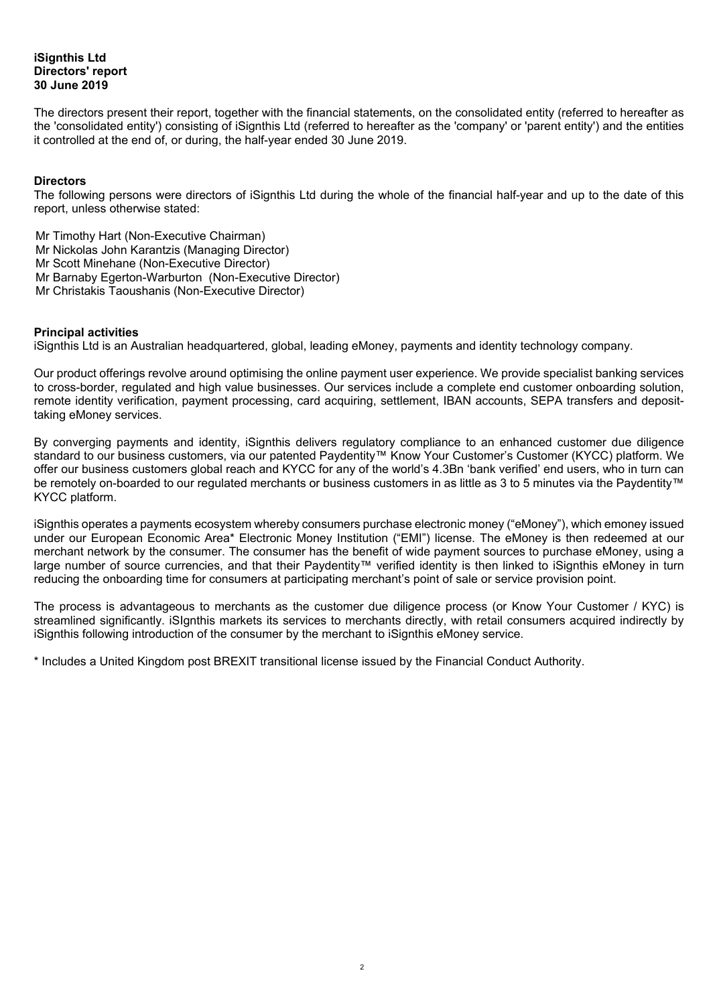# **iSignthis Ltd Directors' report 30 June 2019**

The directors present their report, together with the financial statements, on the consolidated entity (referred to hereafter as the 'consolidated entity') consisting of iSignthis Ltd (referred to hereafter as the 'company' or 'parent entity') and the entities it controlled at the end of, or during, the half-year ended 30 June 2019.

# **Directors**

The following persons were directors of iSignthis Ltd during the whole of the financial half-year and up to the date of this report, unless otherwise stated:

Mr Timothy Hart (Non-Executive Chairman) Mr Nickolas John Karantzis (Managing Director) Mr Scott Minehane (Non-Executive Director) Mr Barnaby Egerton-Warburton (Non-Executive Director) Mr Christakis Taoushanis (Non-Executive Director)

#### **Principal activities**

iSignthis Ltd is an Australian headquartered, global, leading eMoney, payments and identity technology company.

Our product offerings revolve around optimising the online payment user experience. We provide specialist banking services to cross-border, regulated and high value businesses. Our services include a complete end customer onboarding solution, remote identity verification, payment processing, card acquiring, settlement, IBAN accounts, SEPA transfers and deposittaking eMoney services.

By converging payments and identity, iSignthis delivers regulatory compliance to an enhanced customer due diligence standard to our business customers, via our patented Paydentity™ Know Your Customer's Customer (KYCC) platform. We offer our business customers global reach and KYCC for any of the world's 4.3Bn 'bank verified' end users, who in turn can be remotely on-boarded to our regulated merchants or business customers in as little as 3 to 5 minutes via the Paydentity™ KYCC platform.

iSignthis operates a payments ecosystem whereby consumers purchase electronic money ("eMoney"), which emoney issued under our European Economic Area\* Electronic Money Institution ("EMI") license. The eMoney is then redeemed at our merchant network by the consumer. The consumer has the benefit of wide payment sources to purchase eMoney, using a large number of source currencies, and that their Paydentity™ verified identity is then linked to iSignthis eMoney in turn reducing the onboarding time for consumers at participating merchant's point of sale or service provision point.

The process is advantageous to merchants as the customer due diligence process (or Know Your Customer / KYC) is streamlined significantly. iSIgnthis markets its services to merchants directly, with retail consumers acquired indirectly by iSignthis following introduction of the consumer by the merchant to iSignthis eMoney service.

\* Includes a United Kingdom post BREXIT transitional license issued by the Financial Conduct Authority.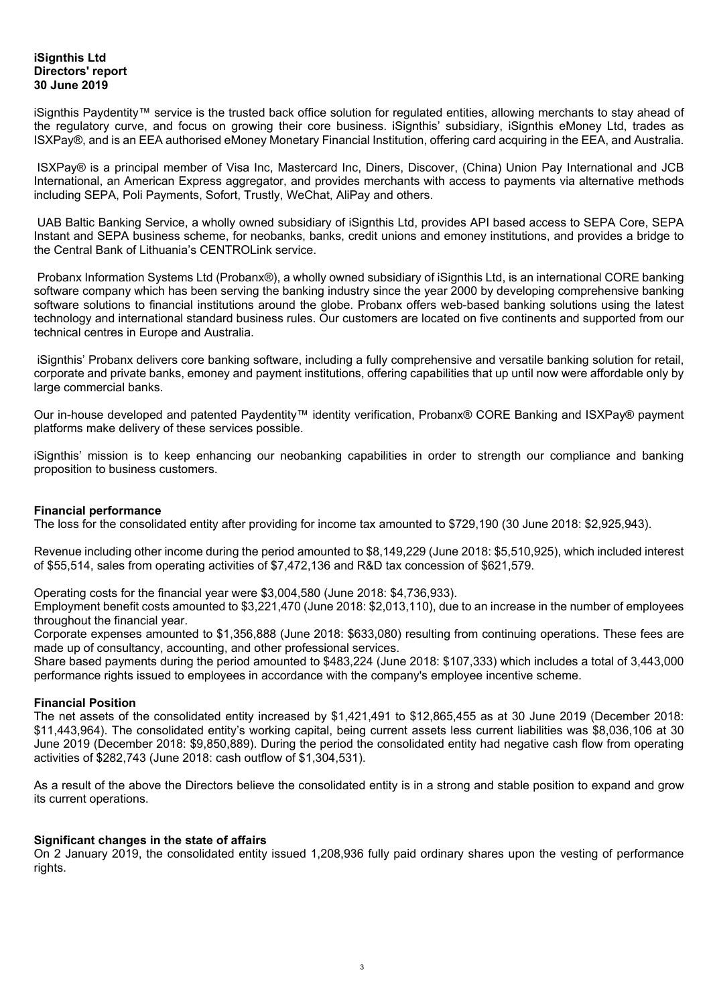# **iSignthis Ltd Directors' report 30 June 2019**

iSignthis Paydentity™ service is the trusted back office solution for regulated entities, allowing merchants to stay ahead of the regulatory curve, and focus on growing their core business. iSignthis' subsidiary, iSignthis eMoney Ltd, trades as ISXPay®, and is an EEA authorised eMoney Monetary Financial Institution, offering card acquiring in the EEA, and Australia.

 ISXPay® is a principal member of Visa Inc, Mastercard Inc, Diners, Discover, (China) Union Pay International and JCB International, an American Express aggregator, and provides merchants with access to payments via alternative methods including SEPA, Poli Payments, Sofort, Trustly, WeChat, AliPay and others.

 UAB Baltic Banking Service, a wholly owned subsidiary of iSignthis Ltd, provides API based access to SEPA Core, SEPA Instant and SEPA business scheme, for neobanks, banks, credit unions and emoney institutions, and provides a bridge to the Central Bank of Lithuania's CENTROLink service.

 Probanx Information Systems Ltd (Probanx®), a wholly owned subsidiary of iSignthis Ltd, is an international CORE banking software company which has been serving the banking industry since the year 2000 by developing comprehensive banking software solutions to financial institutions around the globe. Probanx offers web-based banking solutions using the latest technology and international standard business rules. Our customers are located on five continents and supported from our technical centres in Europe and Australia.

 iSignthis' Probanx delivers core banking software, including a fully comprehensive and versatile banking solution for retail, corporate and private banks, emoney and payment institutions, offering capabilities that up until now were affordable only by large commercial banks.

Our in-house developed and patented Paydentity™ identity verification, Probanx® CORE Banking and ISXPay® payment platforms make delivery of these services possible.

iSignthis' mission is to keep enhancing our neobanking capabilities in order to strength our compliance and banking proposition to business customers.

# **Financial performance**

The loss for the consolidated entity after providing for income tax amounted to \$729,190 (30 June 2018: \$2,925,943).

Revenue including other income during the period amounted to \$8,149,229 (June 2018: \$5,510,925), which included interest of \$55,514, sales from operating activities of \$7,472,136 and R&D tax concession of \$621,579.

Operating costs for the financial year were \$3,004,580 (June 2018: \$4,736,933).

Employment benefit costs amounted to \$3,221,470 (June 2018: \$2,013,110), due to an increase in the number of employees throughout the financial year.

Corporate expenses amounted to \$1,356,888 (June 2018: \$633,080) resulting from continuing operations. These fees are made up of consultancy, accounting, and other professional services.

Share based payments during the period amounted to \$483,224 (June 2018: \$107,333) which includes a total of 3,443,000 performance rights issued to employees in accordance with the company's employee incentive scheme.

#### **Financial Position**

The net assets of the consolidated entity increased by \$1,421,491 to \$12,865,455 as at 30 June 2019 (December 2018: \$11,443,964). The consolidated entity's working capital, being current assets less current liabilities was \$8,036,106 at 30 June 2019 (December 2018: \$9,850,889). During the period the consolidated entity had negative cash flow from operating activities of \$282,743 (June 2018: cash outflow of \$1,304,531).

As a result of the above the Directors believe the consolidated entity is in a strong and stable position to expand and grow its current operations.

#### **Significant changes in the state of affairs**

On 2 January 2019, the consolidated entity issued 1,208,936 fully paid ordinary shares upon the vesting of performance rights.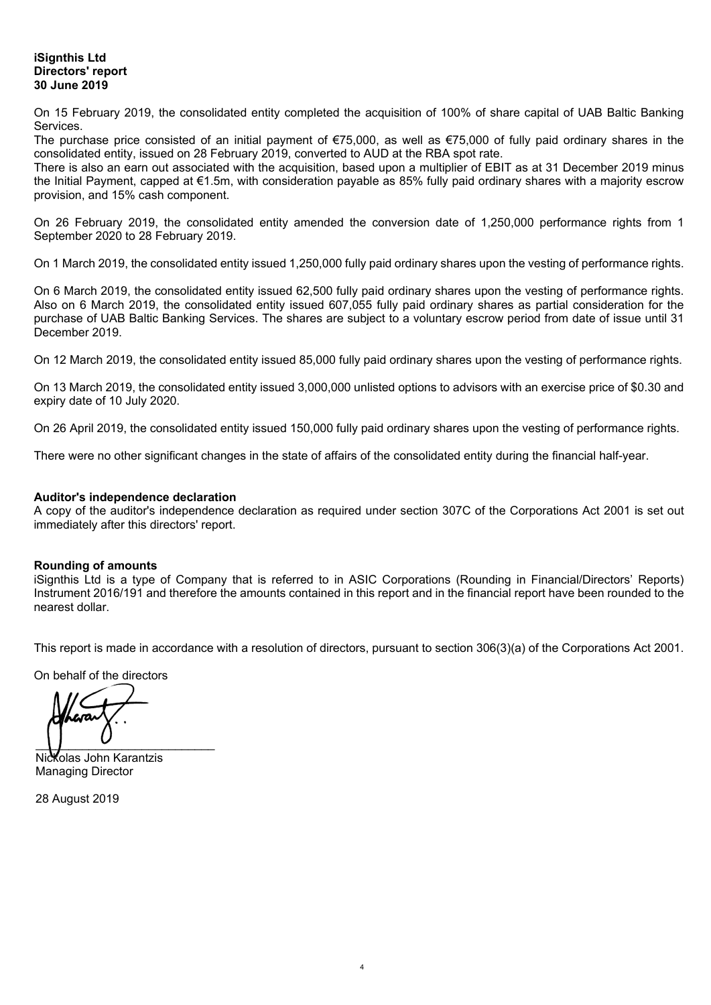# **iSignthis Ltd Directors' report 30 June 2019**

On 15 February 2019, the consolidated entity completed the acquisition of 100% of share capital of UAB Baltic Banking Services.

The purchase price consisted of an initial payment of €75,000, as well as €75,000 of fully paid ordinary shares in the consolidated entity, issued on 28 February 2019, converted to AUD at the RBA spot rate.

There is also an earn out associated with the acquisition, based upon a multiplier of EBIT as at 31 December 2019 minus the Initial Payment, capped at €1.5m, with consideration payable as 85% fully paid ordinary shares with a majority escrow provision, and 15% cash component.

On 26 February 2019, the consolidated entity amended the conversion date of 1,250,000 performance rights from 1 September 2020 to 28 February 2019.

On 1 March 2019, the consolidated entity issued 1,250,000 fully paid ordinary shares upon the vesting of performance rights.

On 6 March 2019, the consolidated entity issued 62,500 fully paid ordinary shares upon the vesting of performance rights. Also on 6 March 2019, the consolidated entity issued 607,055 fully paid ordinary shares as partial consideration for the purchase of UAB Baltic Banking Services. The shares are subject to a voluntary escrow period from date of issue until 31 December 2019.

On 12 March 2019, the consolidated entity issued 85,000 fully paid ordinary shares upon the vesting of performance rights.

On 13 March 2019, the consolidated entity issued 3,000,000 unlisted options to advisors with an exercise price of \$0.30 and expiry date of 10 July 2020.

On 26 April 2019, the consolidated entity issued 150,000 fully paid ordinary shares upon the vesting of performance rights.

There were no other significant changes in the state of affairs of the consolidated entity during the financial half-year.

# **Auditor's independence declaration**

A copy of the auditor's independence declaration as required under section 307C of the Corporations Act 2001 is set out immediately after this directors' report.

# **Rounding of amounts**

iSignthis Ltd is a type of Company that is referred to in ASIC Corporations (Rounding in Financial/Directors' Reports) Instrument 2016/191 and therefore the amounts contained in this report and in the financial report have been rounded to the nearest dollar.

This report is made in accordance with a resolution of directors, pursuant to section 306(3)(a) of the Corporations Act 2001.

On behalf of the directors

 $\overline{\phantom{a}}$ 

Nickolas John Karantzis Managing Director

28 August 2019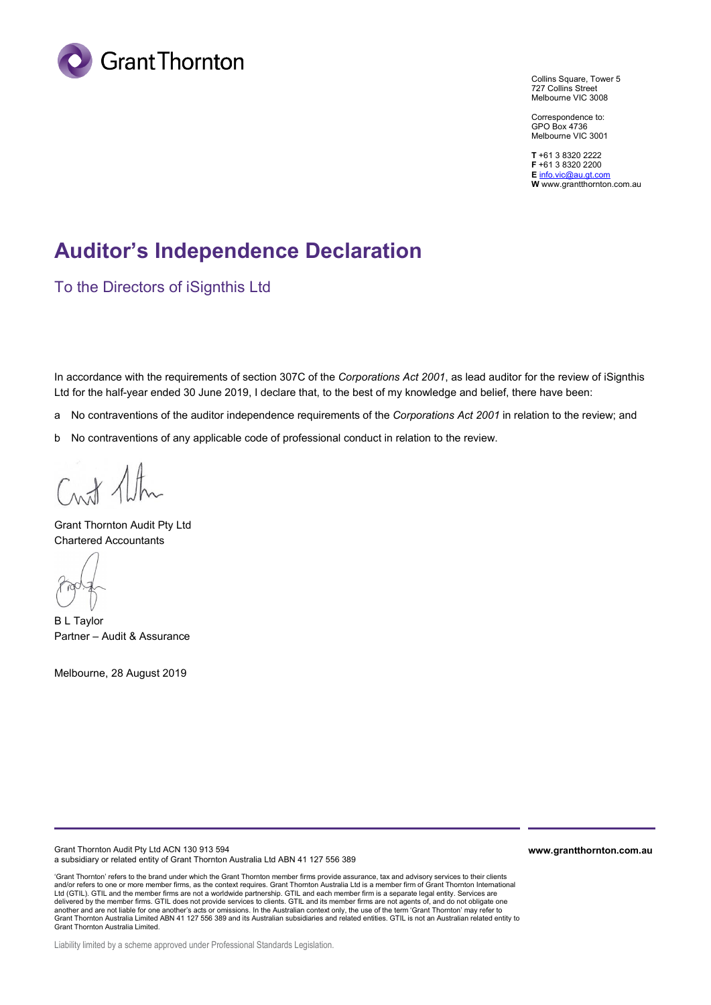

Collins Square, Tower 5 727 Collins Street Melbourne VIC 3008

Correspondence to: GPO Box 4736 Melbourne VIC 3001

**T** +61 3 8320 2222 **F** +61 3 8320 2200 **E** [info.vic@au.gt.com](mailto:info.vic@au.gt.com) **W** www.grantthornton.com.au

# **Auditor's Independence Declaration**

To the Directors of iSignthis Ltd

In accordance with the requirements of section 307C of the *Corporations Act 2001*, as lead auditor for the review of iSignthis Ltd for the half-year ended 30 June 2019, I declare that, to the best of my knowledge and belief, there have been:

- a No contraventions of the auditor independence requirements of the *Corporations Act 2001* in relation to the review; and
- b No contraventions of any applicable code of professional conduct in relation to the review.

Crut Alter

Grant Thornton Audit Pty Ltd Chartered Accountants

B L Taylor Partner – Audit & Assurance

Melbourne, 28 August 2019

Grant Thornton Audit Pty Ltd ACN 130 913 594 a subsidiary or related entity of Grant Thornton Australia Ltd ABN 41 127 556 389

'Grant Thornton' refers to the brand under which the Grant Thornton member firms provide assurance, tax and advisory services to their clients and/or refers to one or more member firms, as the context requires. Grant Thornton Australia Ltd is a member firm of Grant Thornton International Ltd (GTIL). GTIL and the member firms are not a worldwide partnership. GTIL and each member firm is a separate legal entity. Services are delivered by the member firms. GTIL does not provide services to clients. GTIL and its member firms are not agents of, and do not obligate one<br>another and are not liable for one another's acts or omissions. In the Australi Grant Thornton Australia Limited.

Liability limited by a scheme approved under Professional Standards Legislation.

**www.grantthornton.com.au**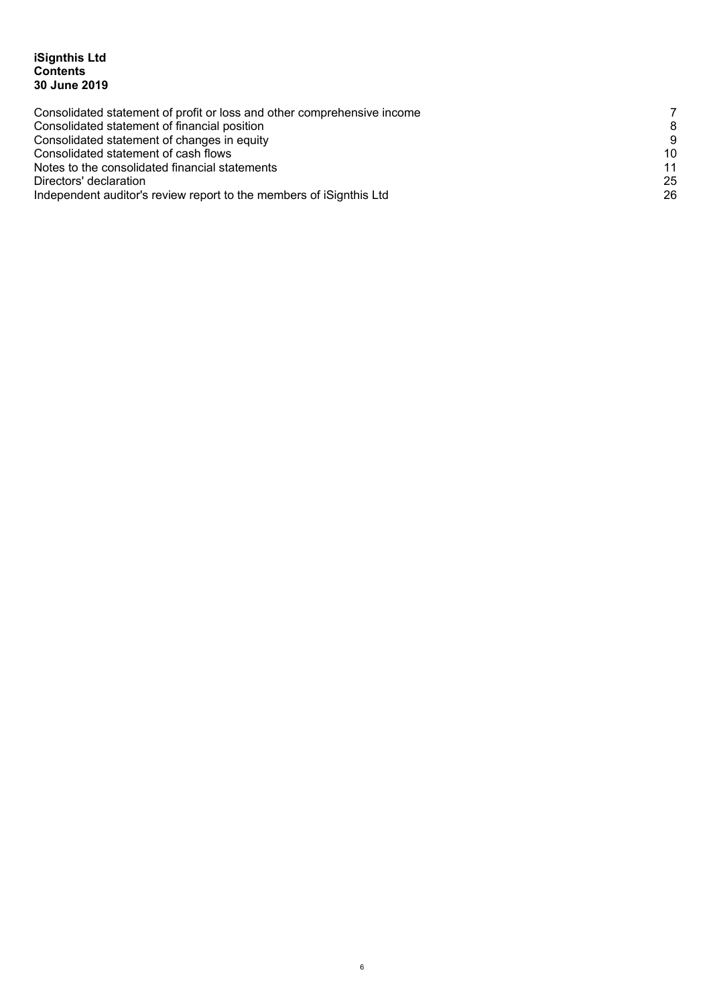# **iSignthis Ltd Contents 30 June 2019**

| Consolidated statement of profit or loss and other comprehensive income | 7  |
|-------------------------------------------------------------------------|----|
| Consolidated statement of financial position                            | 8  |
| Consolidated statement of changes in equity                             | 9  |
| Consolidated statement of cash flows                                    | 10 |
| Notes to the consolidated financial statements                          | 11 |
| Directors' declaration                                                  | 25 |
| Independent auditor's review report to the members of iSignthis Ltd     | 26 |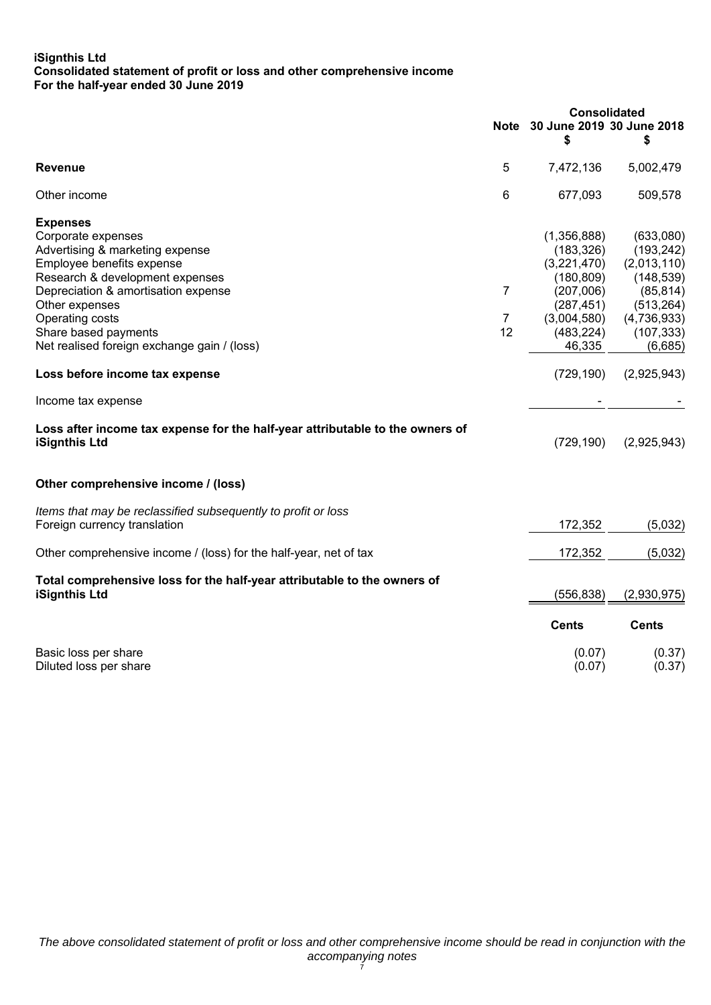# **iSignthis Ltd Consolidated statement of profit or loss and other comprehensive income For the half-year ended 30 June 2019**

|                                                                                                       |                |                                      | Consolidated |  |
|-------------------------------------------------------------------------------------------------------|----------------|--------------------------------------|--------------|--|
|                                                                                                       |                | Note 30 June 2019 30 June 2018<br>\$ | \$           |  |
| <b>Revenue</b>                                                                                        | 5              | 7,472,136                            | 5,002,479    |  |
| Other income                                                                                          | 6              | 677,093                              | 509,578      |  |
| <b>Expenses</b>                                                                                       |                |                                      |              |  |
| Corporate expenses                                                                                    |                | (1,356,888)                          | (633,080)    |  |
| Advertising & marketing expense                                                                       |                | (183, 326)                           | (193, 242)   |  |
| Employee benefits expense                                                                             |                | (3,221,470)                          | (2,013,110)  |  |
| Research & development expenses                                                                       |                | (180, 809)                           | (148, 539)   |  |
| Depreciation & amortisation expense                                                                   | 7              | (207,006)                            | (85, 814)    |  |
| Other expenses                                                                                        |                | (287, 451)                           | (513, 264)   |  |
| Operating costs                                                                                       | $\overline{7}$ | (3,004,580)                          | (4,736,933)  |  |
| Share based payments                                                                                  | 12             | (483, 224)                           | (107, 333)   |  |
| Net realised foreign exchange gain / (loss)                                                           |                | 46,335                               | (6,685)      |  |
| Loss before income tax expense                                                                        |                | (729, 190)                           | (2,925,943)  |  |
| Income tax expense                                                                                    |                |                                      |              |  |
| Loss after income tax expense for the half-year attributable to the owners of<br><b>iSignthis Ltd</b> |                | (729, 190)                           | (2,925,943)  |  |
| Other comprehensive income / (loss)                                                                   |                |                                      |              |  |
| Items that may be reclassified subsequently to profit or loss                                         |                |                                      |              |  |
| Foreign currency translation                                                                          |                | 172,352                              | (5,032)      |  |
| Other comprehensive income / (loss) for the half-year, net of tax                                     |                | 172,352                              | (5,032)      |  |
| Total comprehensive loss for the half-year attributable to the owners of                              |                |                                      |              |  |
| iSignthis Ltd                                                                                         |                | (556, 838)                           | (2,930,975)  |  |
|                                                                                                       |                | <b>Cents</b>                         | <b>Cents</b> |  |
| Basic loss per share                                                                                  |                | (0.07)                               | (0.37)       |  |
| Diluted loss per share                                                                                |                | (0.07)                               | (0.37)       |  |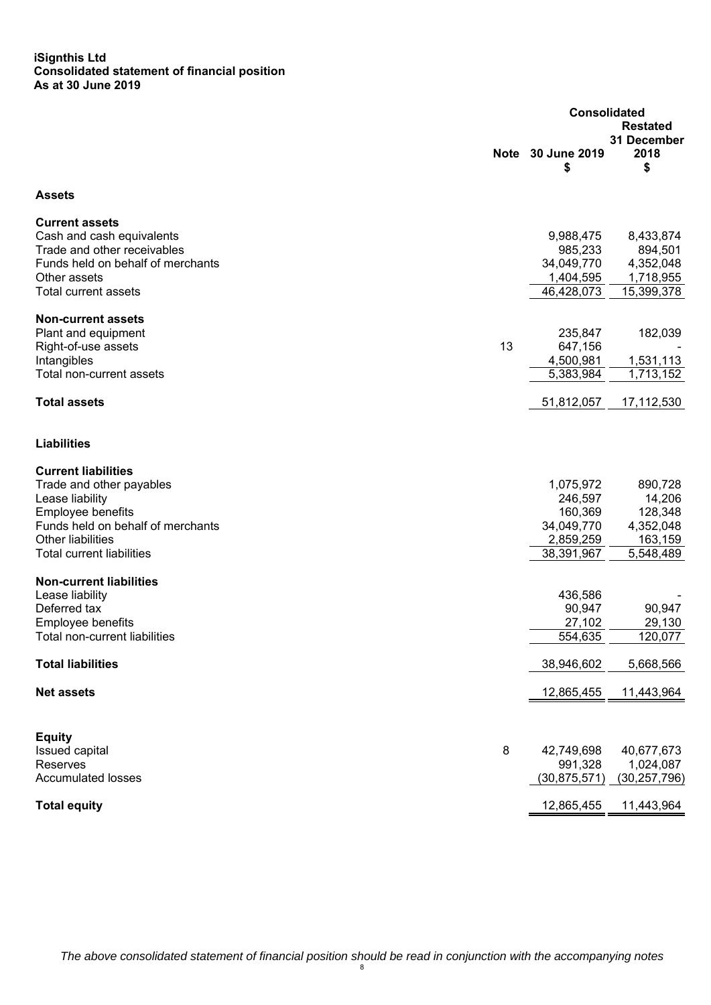#### **iSignthis Ltd Consolidated statement of financial position As at 30 June 2019**

|                                                                  |             | <b>Consolidated</b>     |                           |  |
|------------------------------------------------------------------|-------------|-------------------------|---------------------------|--|
|                                                                  | <b>Note</b> | 30 June 2019<br>\$      | 31 December<br>2018<br>\$ |  |
| <b>Assets</b>                                                    |             |                         |                           |  |
| <b>Current assets</b>                                            |             |                         |                           |  |
| Cash and cash equivalents                                        |             | 9,988,475               | 8,433,874                 |  |
| Trade and other receivables<br>Funds held on behalf of merchants |             | 985,233<br>34,049,770   | 894,501<br>4,352,048      |  |
| Other assets                                                     |             | 1,404,595               | 1,718,955                 |  |
| <b>Total current assets</b>                                      |             | 46,428,073              | 15,399,378                |  |
| <b>Non-current assets</b>                                        |             |                         |                           |  |
| Plant and equipment                                              |             | 235,847                 | 182,039                   |  |
| Right-of-use assets                                              | 13          | 647,156                 |                           |  |
| Intangibles                                                      |             | 4,500,981               | 1,531,113                 |  |
| Total non-current assets                                         |             | 5,383,984               | 1,713,152                 |  |
| <b>Total assets</b>                                              |             | 51,812,057              | 17,112,530                |  |
| <b>Liabilities</b>                                               |             |                         |                           |  |
| <b>Current liabilities</b>                                       |             |                         |                           |  |
| Trade and other payables                                         |             | 1,075,972               | 890,728                   |  |
| Lease liability                                                  |             | 246,597                 | 14,206                    |  |
| Employee benefits                                                |             | 160,369                 | 128,348                   |  |
| Funds held on behalf of merchants<br>Other liabilities           |             | 34,049,770              | 4,352,048                 |  |
| <b>Total current liabilities</b>                                 |             | 2,859,259<br>38,391,967 | 163,159<br>5,548,489      |  |
|                                                                  |             |                         |                           |  |
| <b>Non-current liabilities</b>                                   |             |                         |                           |  |
| Lease liability                                                  |             | 436,586                 |                           |  |
| Deferred tax                                                     |             | 90,947                  | 90,947                    |  |
| Employee benefits                                                |             | 27,102                  | 29,130                    |  |
| Total non-current liabilities                                    |             | 554,635                 | 120,077                   |  |
| <b>Total liabilities</b>                                         |             | 38,946,602              | 5,668,566                 |  |
| <b>Net assets</b>                                                |             | 12,865,455              | 11,443,964                |  |
|                                                                  |             |                         |                           |  |
| <b>Equity</b><br>Issued capital                                  | 8           | 42,749,698              | 40,677,673                |  |
| Reserves                                                         |             | 991,328                 | 1,024,087                 |  |
| <b>Accumulated losses</b>                                        |             | (30, 875, 571)          | (30, 257, 796)            |  |
| <b>Total equity</b>                                              |             | 12,865,455              | 11,443,964                |  |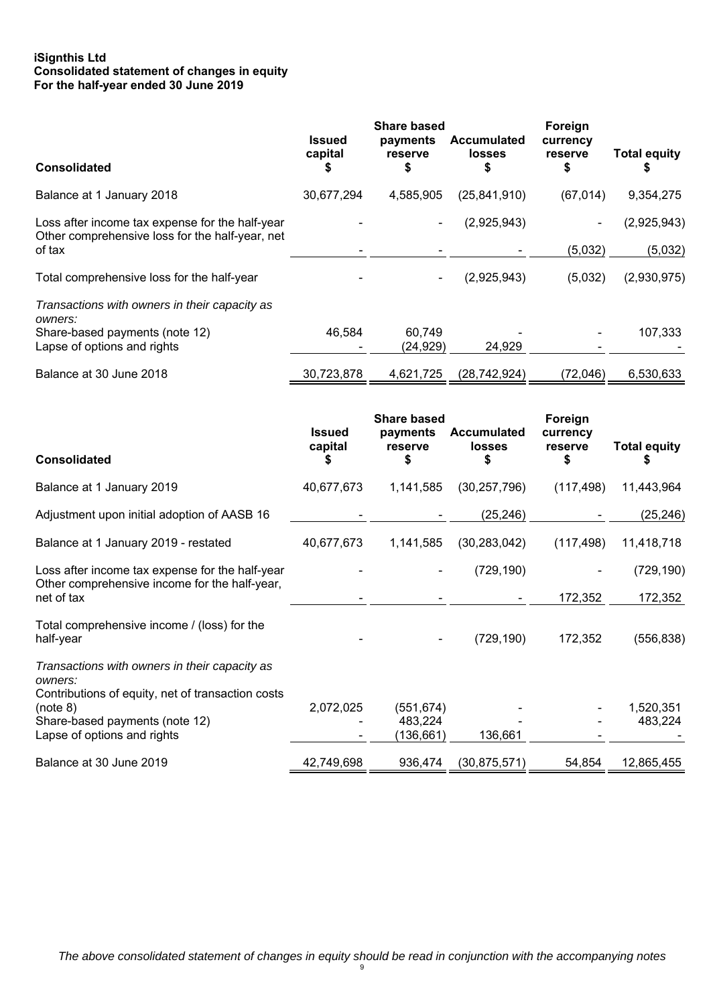# **iSignthis Ltd Consolidated statement of changes in equity For the half-year ended 30 June 2019**

| <b>Consolidated</b>                                                                                | <b>Issued</b><br>capital<br>S | <b>Share based</b><br>payments<br>reserve<br>\$ | <b>Accumulated</b><br>losses<br>\$ | Foreign<br>currency<br>reserve | <b>Total equity</b><br>\$ |
|----------------------------------------------------------------------------------------------------|-------------------------------|-------------------------------------------------|------------------------------------|--------------------------------|---------------------------|
| Balance at 1 January 2018                                                                          | 30,677,294                    | 4,585,905                                       | (25, 841, 910)                     | (67, 014)                      | 9,354,275                 |
| Loss after income tax expense for the half-year<br>Other comprehensive loss for the half-year, net |                               |                                                 | (2,925,943)                        |                                | (2,925,943)               |
| of tax                                                                                             |                               |                                                 |                                    | (5,032)                        | (5,032)                   |
| Total comprehensive loss for the half-year                                                         |                               | $\blacksquare$                                  | (2,925,943)                        | (5,032)                        | (2,930,975)               |
| Transactions with owners in their capacity as<br>owners:                                           |                               |                                                 |                                    |                                |                           |
| Share-based payments (note 12)<br>Lapse of options and rights                                      | 46.584                        | 60.749<br>(24, 929)                             | 24.929                             |                                | 107,333                   |
|                                                                                                    |                               |                                                 |                                    |                                |                           |
| Balance at 30 June 2018                                                                            | 30,723,878                    | 4,621,725                                       | (28, 742, 924)                     | (72,046)                       | 6,530,633                 |

| <b>Consolidated</b>                                                                                                                                                                        | <b>Issued</b><br>capital | <b>Share based</b><br>payments<br>reserve | <b>Accumulated</b><br><b>losses</b> | Foreign<br>currency<br>reserve<br>S | <b>Total equity</b>   |
|--------------------------------------------------------------------------------------------------------------------------------------------------------------------------------------------|--------------------------|-------------------------------------------|-------------------------------------|-------------------------------------|-----------------------|
| Balance at 1 January 2019                                                                                                                                                                  | 40,677,673               | 1,141,585                                 | (30, 257, 796)                      | (117, 498)                          | 11,443,964            |
| Adjustment upon initial adoption of AASB 16                                                                                                                                                |                          |                                           | (25, 246)                           |                                     | (25, 246)             |
| Balance at 1 January 2019 - restated                                                                                                                                                       | 40,677,673               | 1,141,585                                 | (30, 283, 042)                      | (117, 498)                          | 11,418,718            |
| Loss after income tax expense for the half-year<br>Other comprehensive income for the half-year,<br>net of tax                                                                             |                          |                                           | (729, 190)                          | 172,352                             | (729, 190)<br>172,352 |
| Total comprehensive income / (loss) for the<br>half-year                                                                                                                                   |                          |                                           | (729, 190)                          | 172,352                             | (556, 838)            |
| Transactions with owners in their capacity as<br>owners:<br>Contributions of equity, net of transaction costs<br>(note 8)<br>Share-based payments (note 12)<br>Lapse of options and rights | 2,072,025                | (551, 674)<br>483,224<br>(136, 661)       | 136,661                             |                                     | 1,520,351<br>483,224  |
| Balance at 30 June 2019                                                                                                                                                                    | 42,749,698               | 936,474                                   | (30, 875, 571)                      | 54,854                              | 12,865,455            |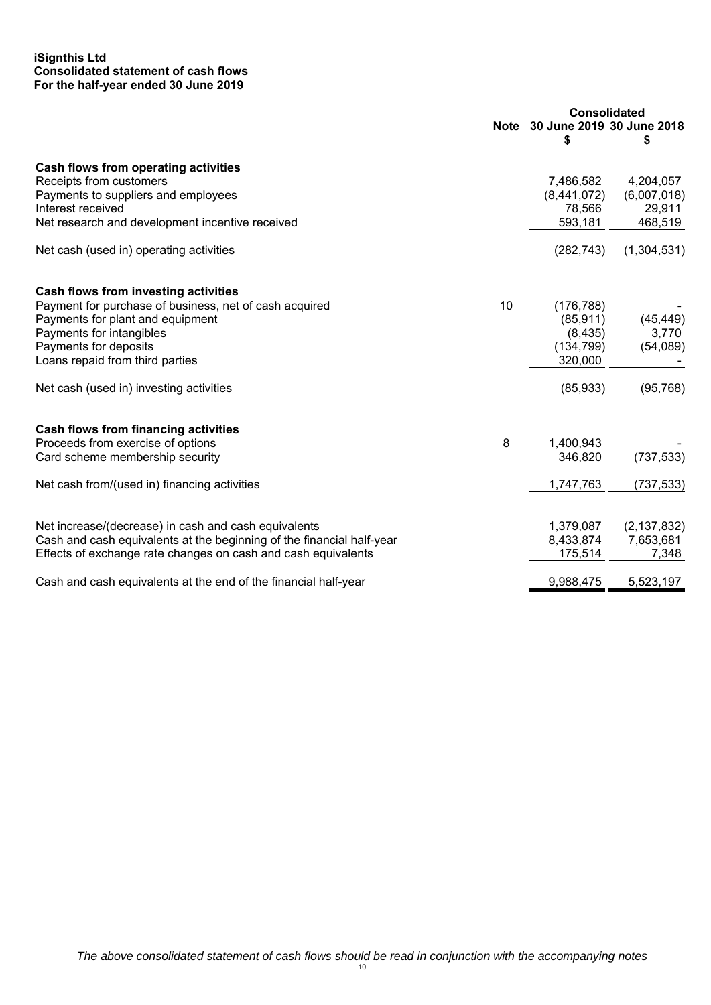# **iSignthis Ltd Consolidated statement of cash flows For the half-year ended 30 June 2019**

|                                                                       | <b>Consolidated</b> |                                     |               |
|-----------------------------------------------------------------------|---------------------|-------------------------------------|---------------|
|                                                                       |                     | Note 30 June 2019 30 June 2018<br>S | \$            |
| Cash flows from operating activities                                  |                     |                                     |               |
| Receipts from customers                                               |                     | 7,486,582                           | 4,204,057     |
| Payments to suppliers and employees                                   |                     | (8,441,072)                         | (6,007,018)   |
| Interest received                                                     |                     | 78,566                              | 29,911        |
| Net research and development incentive received                       |                     | 593,181                             | 468,519       |
| Net cash (used in) operating activities                               |                     | (282, 743)                          | (1,304,531)   |
| Cash flows from investing activities                                  |                     |                                     |               |
| Payment for purchase of business, net of cash acquired                | 10                  | (176, 788)                          |               |
| Payments for plant and equipment                                      |                     | (85, 911)                           | (45, 449)     |
| Payments for intangibles                                              |                     | (8, 435)                            | 3,770         |
| Payments for deposits                                                 |                     | (134, 799)                          | (54,089)      |
| Loans repaid from third parties                                       |                     | 320,000                             |               |
|                                                                       |                     |                                     |               |
| Net cash (used in) investing activities                               |                     | (85, 933)                           | (95, 768)     |
| <b>Cash flows from financing activities</b>                           |                     |                                     |               |
| Proceeds from exercise of options                                     | 8                   | 1,400,943                           |               |
| Card scheme membership security                                       |                     | 346,820                             | (737, 533)    |
|                                                                       |                     |                                     |               |
| Net cash from/(used in) financing activities                          |                     | 1,747,763                           | (737, 533)    |
|                                                                       |                     |                                     |               |
| Net increase/(decrease) in cash and cash equivalents                  |                     | 1,379,087                           | (2, 137, 832) |
| Cash and cash equivalents at the beginning of the financial half-year |                     | 8,433,874                           | 7,653,681     |
| Effects of exchange rate changes on cash and cash equivalents         |                     | 175,514                             | 7,348         |
| Cash and cash equivalents at the end of the financial half-year       |                     | 9,988,475                           | 5,523,197     |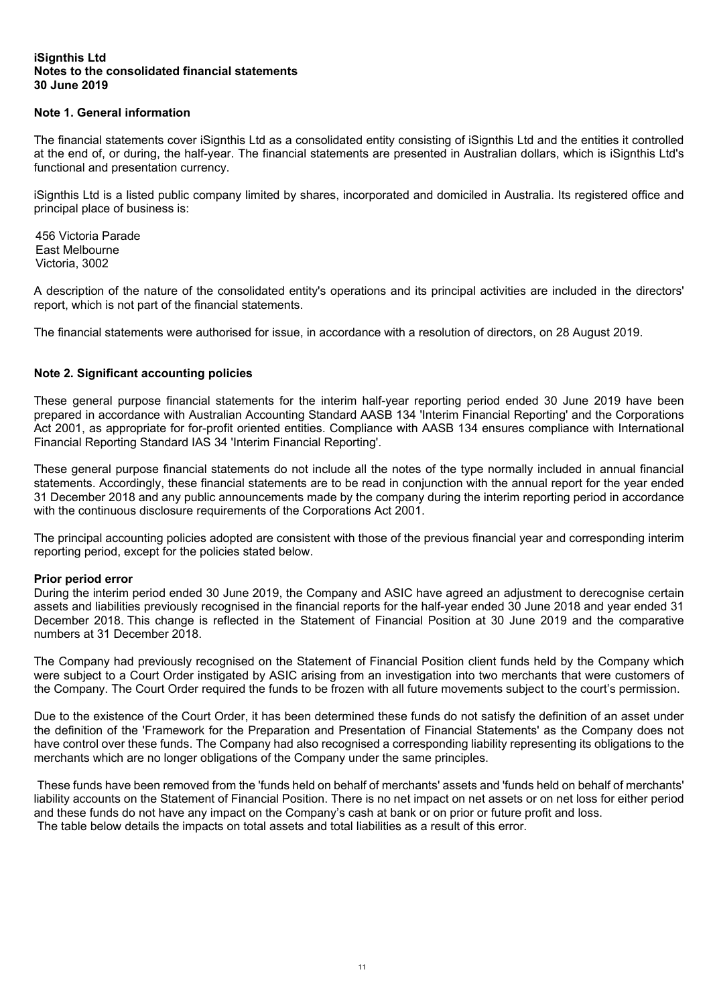# **Note 1. General information**

The financial statements cover iSignthis Ltd as a consolidated entity consisting of iSignthis Ltd and the entities it controlled at the end of, or during, the half-year. The financial statements are presented in Australian dollars, which is iSignthis Ltd's functional and presentation currency.

iSignthis Ltd is a listed public company limited by shares, incorporated and domiciled in Australia. Its registered office and principal place of business is:

456 Victoria Parade East Melbourne Victoria, 3002

A description of the nature of the consolidated entity's operations and its principal activities are included in the directors' report, which is not part of the financial statements.

The financial statements were authorised for issue, in accordance with a resolution of directors, on 28 August 2019.

# **Note 2. Significant accounting policies**

These general purpose financial statements for the interim half-year reporting period ended 30 June 2019 have been prepared in accordance with Australian Accounting Standard AASB 134 'Interim Financial Reporting' and the Corporations Act 2001, as appropriate for for-profit oriented entities. Compliance with AASB 134 ensures compliance with International Financial Reporting Standard IAS 34 'Interim Financial Reporting'.

These general purpose financial statements do not include all the notes of the type normally included in annual financial statements. Accordingly, these financial statements are to be read in conjunction with the annual report for the year ended 31 December 2018 and any public announcements made by the company during the interim reporting period in accordance with the continuous disclosure requirements of the Corporations Act 2001.

The principal accounting policies adopted are consistent with those of the previous financial year and corresponding interim reporting period, except for the policies stated below.

#### **Prior period error**

During the interim period ended 30 June 2019, the Company and ASIC have agreed an adjustment to derecognise certain assets and liabilities previously recognised in the financial reports for the half-year ended 30 June 2018 and year ended 31 December 2018. This change is reflected in the Statement of Financial Position at 30 June 2019 and the comparative numbers at 31 December 2018.

The Company had previously recognised on the Statement of Financial Position client funds held by the Company which were subject to a Court Order instigated by ASIC arising from an investigation into two merchants that were customers of the Company. The Court Order required the funds to be frozen with all future movements subject to the court's permission.

Due to the existence of the Court Order, it has been determined these funds do not satisfy the definition of an asset under the definition of the 'Framework for the Preparation and Presentation of Financial Statements' as the Company does not have control over these funds. The Company had also recognised a corresponding liability representing its obligations to the merchants which are no longer obligations of the Company under the same principles.

 These funds have been removed from the 'funds held on behalf of merchants' assets and 'funds held on behalf of merchants' liability accounts on the Statement of Financial Position. There is no net impact on net assets or on net loss for either period and these funds do not have any impact on the Company's cash at bank or on prior or future profit and loss. The table below details the impacts on total assets and total liabilities as a result of this error.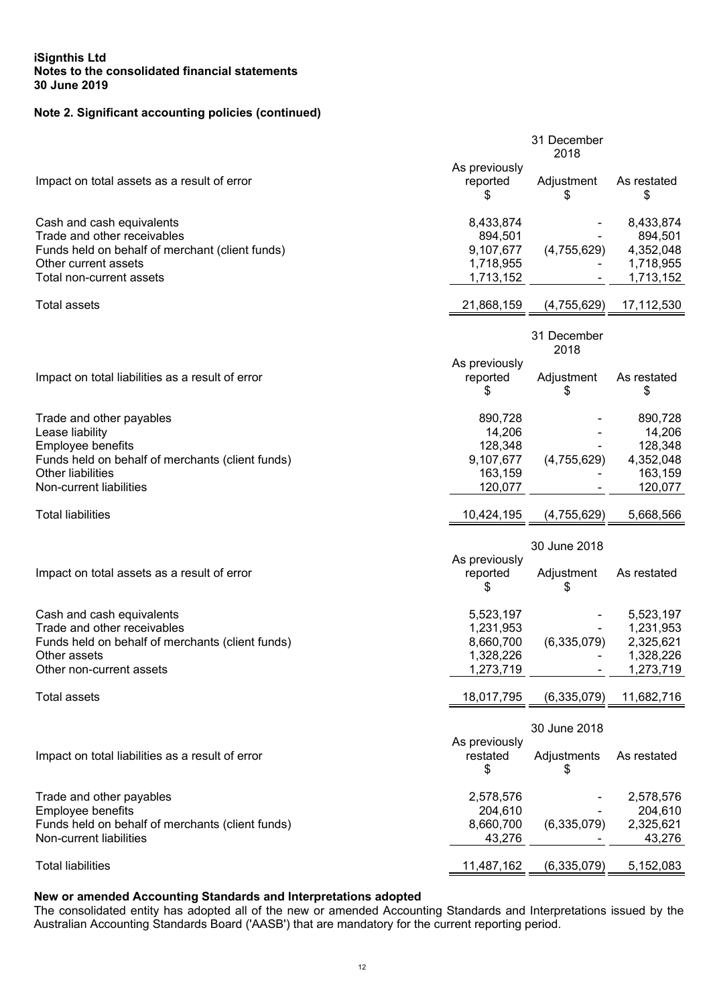# **Note 2. Significant accounting policies (continued)**

|                                                                             |                        | 31 December<br>2018 |                        |
|-----------------------------------------------------------------------------|------------------------|---------------------|------------------------|
|                                                                             | As previously          |                     |                        |
| Impact on total assets as a result of error                                 | reported<br>S          | Adjustment<br>S     | As restated<br>\$      |
| Cash and cash equivalents                                                   | 8,433,874              |                     | 8,433,874              |
| Trade and other receivables                                                 | 894,501                |                     | 894,501                |
| Funds held on behalf of merchant (client funds)                             | 9,107,677              | (4,755,629)         | 4,352,048              |
| Other current assets<br>Total non-current assets                            | 1,718,955<br>1,713,152 |                     | 1,718,955<br>1,713,152 |
|                                                                             |                        |                     |                        |
| <b>Total assets</b>                                                         | 21,868,159             | (4,755,629)         | 17,112,530             |
|                                                                             |                        | 31 December<br>2018 |                        |
|                                                                             | As previously          |                     |                        |
| Impact on total liabilities as a result of error                            | reported<br>\$         | Adjustment<br>\$    | As restated<br>\$      |
| Trade and other payables                                                    | 890,728                |                     | 890,728                |
| Lease liability                                                             | 14,206<br>128,348      |                     | 14,206                 |
| Employee benefits<br>Funds held on behalf of merchants (client funds)       | 9,107,677              | (4,755,629)         | 128,348<br>4,352,048   |
| <b>Other liabilities</b>                                                    | 163,159                |                     | 163,159                |
| Non-current liabilities                                                     | 120,077                |                     | 120,077                |
| <b>Total liabilities</b>                                                    | 10,424,195             | (4,755,629)         | 5,668,566              |
|                                                                             |                        | 30 June 2018        |                        |
|                                                                             | As previously          |                     |                        |
| Impact on total assets as a result of error                                 | reported<br>\$         | Adjustment<br>\$    | As restated            |
| Cash and cash equivalents                                                   | 5,523,197              |                     | 5,523,197              |
| Trade and other receivables                                                 | 1,231,953              |                     | 1,231,953              |
| Funds held on behalf of merchants (client funds)                            | 8,660,700              | (6,335,079)         | 2,325,621              |
| Other assets<br>Other non-current assets                                    | 1,328,226<br>1,273,719 |                     | 1,328,226<br>1,273,719 |
|                                                                             |                        |                     |                        |
| <b>Total assets</b>                                                         | 18,017,795             | (6, 335, 079)       | 11,682,716             |
|                                                                             |                        | 30 June 2018        |                        |
|                                                                             | As previously          |                     |                        |
| Impact on total liabilities as a result of error                            | restated               | Adjustments         | As restated            |
|                                                                             | \$                     | \$                  |                        |
| Trade and other payables                                                    | 2,578,576              |                     | 2,578,576              |
| Employee benefits                                                           | 204,610                |                     | 204,610                |
| Funds held on behalf of merchants (client funds)<br>Non-current liabilities | 8,660,700<br>43,276    | (6,335,079)         | 2,325,621<br>43,276    |
|                                                                             |                        |                     |                        |
| <b>Total liabilities</b>                                                    | 11,487,162             | (6,335,079)         | 5,152,083              |

# **New or amended Accounting Standards and Interpretations adopted**

The consolidated entity has adopted all of the new or amended Accounting Standards and Interpretations issued by the Australian Accounting Standards Board ('AASB') that are mandatory for the current reporting period.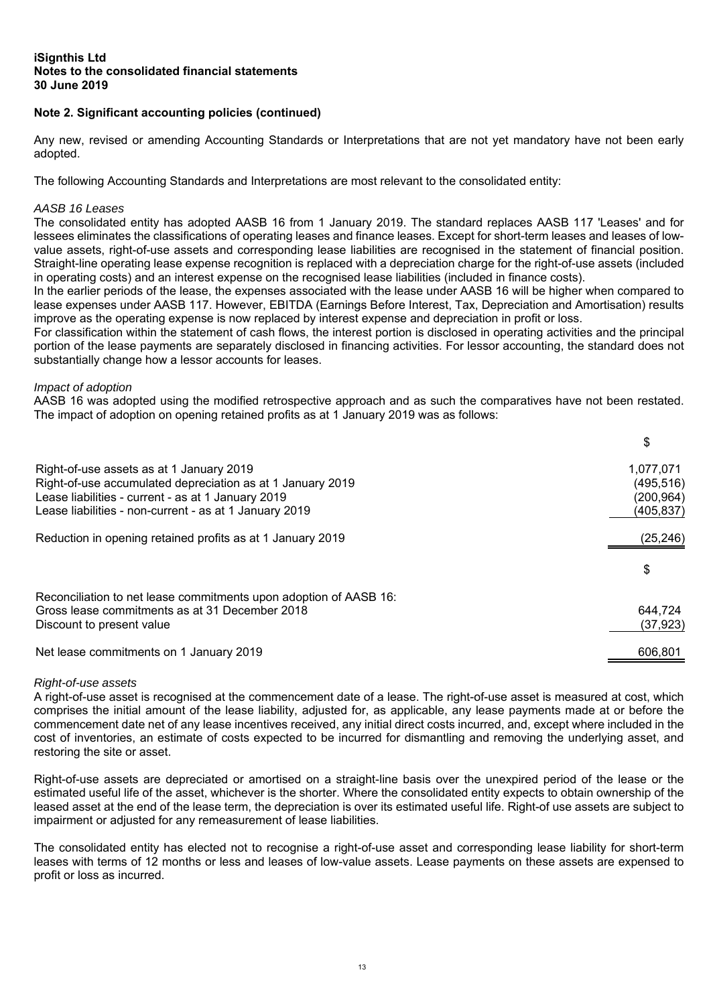# **Note 2. Significant accounting policies (continued)**

Any new, revised or amending Accounting Standards or Interpretations that are not yet mandatory have not been early adopted.

The following Accounting Standards and Interpretations are most relevant to the consolidated entity:

## *AASB 16 Leases*

The consolidated entity has adopted AASB 16 from 1 January 2019. The standard replaces AASB 117 'Leases' and for lessees eliminates the classifications of operating leases and finance leases. Except for short-term leases and leases of lowvalue assets, right-of-use assets and corresponding lease liabilities are recognised in the statement of financial position. Straight-line operating lease expense recognition is replaced with a depreciation charge for the right-of-use assets (included in operating costs) and an interest expense on the recognised lease liabilities (included in finance costs).

In the earlier periods of the lease, the expenses associated with the lease under AASB 16 will be higher when compared to lease expenses under AASB 117. However, EBITDA (Earnings Before Interest, Tax, Depreciation and Amortisation) results improve as the operating expense is now replaced by interest expense and depreciation in profit or loss.

For classification within the statement of cash flows, the interest portion is disclosed in operating activities and the principal portion of the lease payments are separately disclosed in financing activities. For lessor accounting, the standard does not substantially change how a lessor accounts for leases.

#### *Impact of adoption*

AASB 16 was adopted using the modified retrospective approach and as such the comparatives have not been restated. The impact of adoption on opening retained profits as at 1 January 2019 was as follows:

|                                                                   | \$         |
|-------------------------------------------------------------------|------------|
| Right-of-use assets as at 1 January 2019                          | 1,077,071  |
| Right-of-use accumulated depreciation as at 1 January 2019        | (495, 516) |
| Lease liabilities - current - as at 1 January 2019                | (200, 964) |
| Lease liabilities - non-current - as at 1 January 2019            | (405,837)  |
| Reduction in opening retained profits as at 1 January 2019        | (25, 246)  |
|                                                                   | \$         |
| Reconciliation to net lease commitments upon adoption of AASB 16: |            |
| Gross lease commitments as at 31 December 2018                    | 644.724    |
| Discount to present value                                         | (37, 923)  |
| Net lease commitments on 1 January 2019                           | 606,801    |

#### *Right-of-use assets*

A right-of-use asset is recognised at the commencement date of a lease. The right-of-use asset is measured at cost, which comprises the initial amount of the lease liability, adjusted for, as applicable, any lease payments made at or before the commencement date net of any lease incentives received, any initial direct costs incurred, and, except where included in the cost of inventories, an estimate of costs expected to be incurred for dismantling and removing the underlying asset, and restoring the site or asset.

Right-of-use assets are depreciated or amortised on a straight-line basis over the unexpired period of the lease or the estimated useful life of the asset, whichever is the shorter. Where the consolidated entity expects to obtain ownership of the leased asset at the end of the lease term, the depreciation is over its estimated useful life. Right-of use assets are subject to impairment or adjusted for any remeasurement of lease liabilities.

The consolidated entity has elected not to recognise a right-of-use asset and corresponding lease liability for short-term leases with terms of 12 months or less and leases of low-value assets. Lease payments on these assets are expensed to profit or loss as incurred.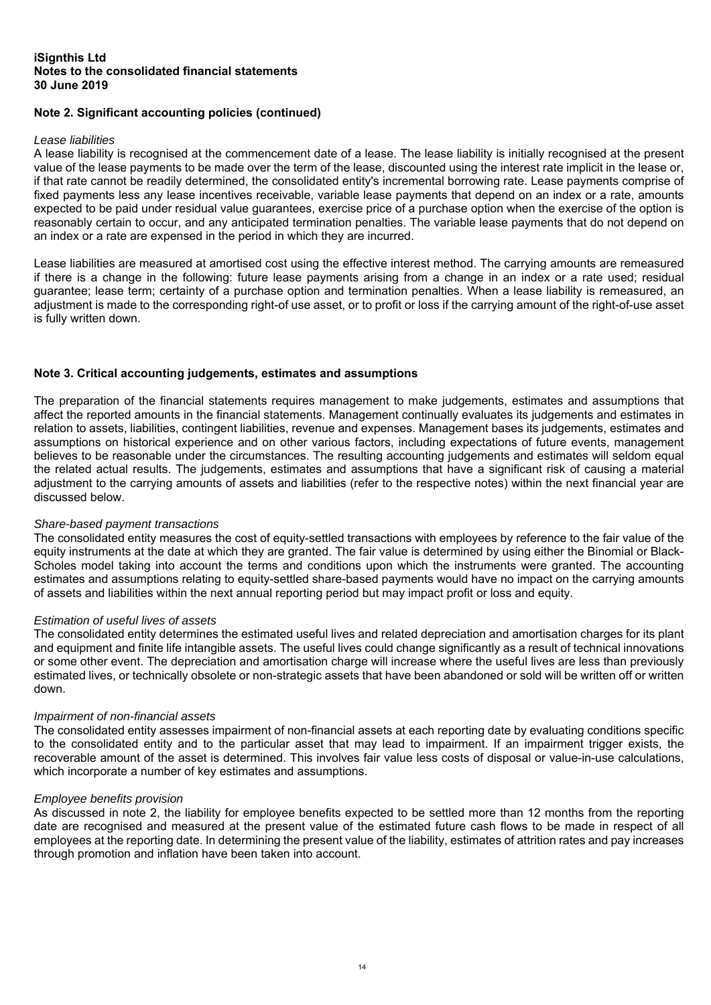# **Note 2. Significant accounting policies (continued)**

#### *Lease liabilities*

A lease liability is recognised at the commencement date of a lease. The lease liability is initially recognised at the present value of the lease payments to be made over the term of the lease, discounted using the interest rate implicit in the lease or, if that rate cannot be readily determined, the consolidated entity's incremental borrowing rate. Lease payments comprise of fixed payments less any lease incentives receivable, variable lease payments that depend on an index or a rate, amounts expected to be paid under residual value guarantees, exercise price of a purchase option when the exercise of the option is reasonably certain to occur, and any anticipated termination penalties. The variable lease payments that do not depend on an index or a rate are expensed in the period in which they are incurred.

Lease liabilities are measured at amortised cost using the effective interest method. The carrying amounts are remeasured if there is a change in the following: future lease payments arising from a change in an index or a rate used; residual guarantee; lease term; certainty of a purchase option and termination penalties. When a lease liability is remeasured, an adjustment is made to the corresponding right-of use asset, or to profit or loss if the carrying amount of the right-of-use asset is fully written down.

# **Note 3. Critical accounting judgements, estimates and assumptions**

The preparation of the financial statements requires management to make judgements, estimates and assumptions that affect the reported amounts in the financial statements. Management continually evaluates its judgements and estimates in relation to assets, liabilities, contingent liabilities, revenue and expenses. Management bases its judgements, estimates and assumptions on historical experience and on other various factors, including expectations of future events, management believes to be reasonable under the circumstances. The resulting accounting judgements and estimates will seldom equal the related actual results. The judgements, estimates and assumptions that have a significant risk of causing a material adjustment to the carrying amounts of assets and liabilities (refer to the respective notes) within the next financial year are discussed below.

#### *Share-based payment transactions*

The consolidated entity measures the cost of equity-settled transactions with employees by reference to the fair value of the equity instruments at the date at which they are granted. The fair value is determined by using either the Binomial or Black-Scholes model taking into account the terms and conditions upon which the instruments were granted. The accounting estimates and assumptions relating to equity-settled share-based payments would have no impact on the carrying amounts of assets and liabilities within the next annual reporting period but may impact profit or loss and equity.

#### *Estimation of useful lives of assets*

The consolidated entity determines the estimated useful lives and related depreciation and amortisation charges for its plant and equipment and finite life intangible assets. The useful lives could change significantly as a result of technical innovations or some other event. The depreciation and amortisation charge will increase where the useful lives are less than previously estimated lives, or technically obsolete or non-strategic assets that have been abandoned or sold will be written off or written down.

# *Impairment of non-financial assets*

The consolidated entity assesses impairment of non-financial assets at each reporting date by evaluating conditions specific to the consolidated entity and to the particular asset that may lead to impairment. If an impairment trigger exists, the recoverable amount of the asset is determined. This involves fair value less costs of disposal or value-in-use calculations, which incorporate a number of key estimates and assumptions.

#### *Employee benefits provision*

As discussed in note 2, the liability for employee benefits expected to be settled more than 12 months from the reporting date are recognised and measured at the present value of the estimated future cash flows to be made in respect of all employees at the reporting date. In determining the present value of the liability, estimates of attrition rates and pay increases through promotion and inflation have been taken into account.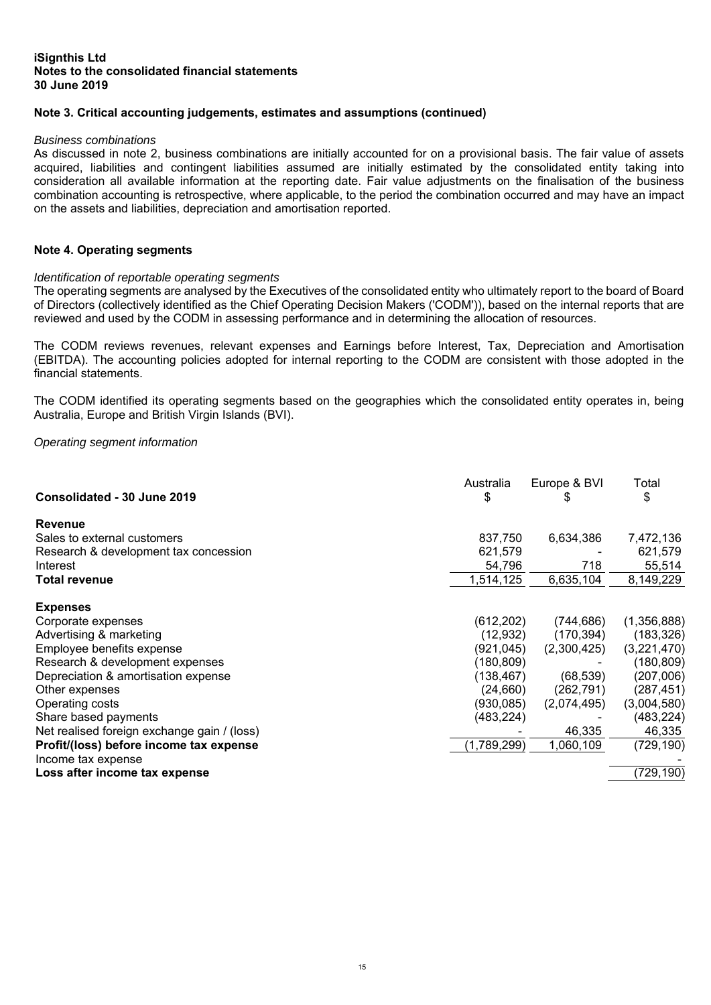# **Note 3. Critical accounting judgements, estimates and assumptions (continued)**

#### *Business combinations*

As discussed in note 2, business combinations are initially accounted for on a provisional basis. The fair value of assets acquired. liabilities and contingent liabilities assumed are initially estimated by the consolidated entity taking into consideration all available information at the reporting date. Fair value adjustments on the finalisation of the business combination accounting is retrospective, where applicable, to the period the combination occurred and may have an impact on the assets and liabilities, depreciation and amortisation reported.

#### **Note 4. Operating segments**

# *Identification of reportable operating segments*

The operating segments are analysed by the Executives of the consolidated entity who ultimately report to the board of Board of Directors (collectively identified as the Chief Operating Decision Makers ('CODM')), based on the internal reports that are reviewed and used by the CODM in assessing performance and in determining the allocation of resources.

The CODM reviews revenues, relevant expenses and Earnings before Interest, Tax, Depreciation and Amortisation (EBITDA). The accounting policies adopted for internal reporting to the CODM are consistent with those adopted in the financial statements.

The CODM identified its operating segments based on the geographies which the consolidated entity operates in, being Australia, Europe and British Virgin Islands (BVI).

*Operating segment information* 

| Consolidated - 30 June 2019                 | Australia<br>\$ | Europe & BVI | Total<br>\$ |
|---------------------------------------------|-----------------|--------------|-------------|
| <b>Revenue</b>                              |                 |              |             |
| Sales to external customers                 | 837,750         | 6,634,386    | 7,472,136   |
| Research & development tax concession       | 621,579         |              | 621,579     |
| Interest                                    | 54,796          | 718          | 55,514      |
| <b>Total revenue</b>                        | 1,514,125       | 6,635,104    | 8,149,229   |
| <b>Expenses</b>                             |                 |              |             |
| Corporate expenses                          | (612, 202)      | (744,686)    | (1,356,888) |
| Advertising & marketing                     | (12, 932)       | (170,394)    | (183, 326)  |
| Employee benefits expense                   | (921, 045)      | (2,300,425)  | (3,221,470) |
| Research & development expenses             | (180, 809)      |              | (180, 809)  |
| Depreciation & amortisation expense         | (138, 467)      | (68, 539)    | (207,006)   |
| Other expenses                              | (24, 660)       | (262, 791)   | (287, 451)  |
| Operating costs                             | (930,085)       | (2,074,495)  | (3,004,580) |
| Share based payments                        | (483,224)       |              | (483, 224)  |
| Net realised foreign exchange gain / (loss) |                 | 46,335       | 46,335      |
| Profit/(loss) before income tax expense     | (1,789,299)     | 1,060,109    | (729, 190)  |
| Income tax expense                          |                 |              |             |
| Loss after income tax expense               |                 |              | (729, 190)  |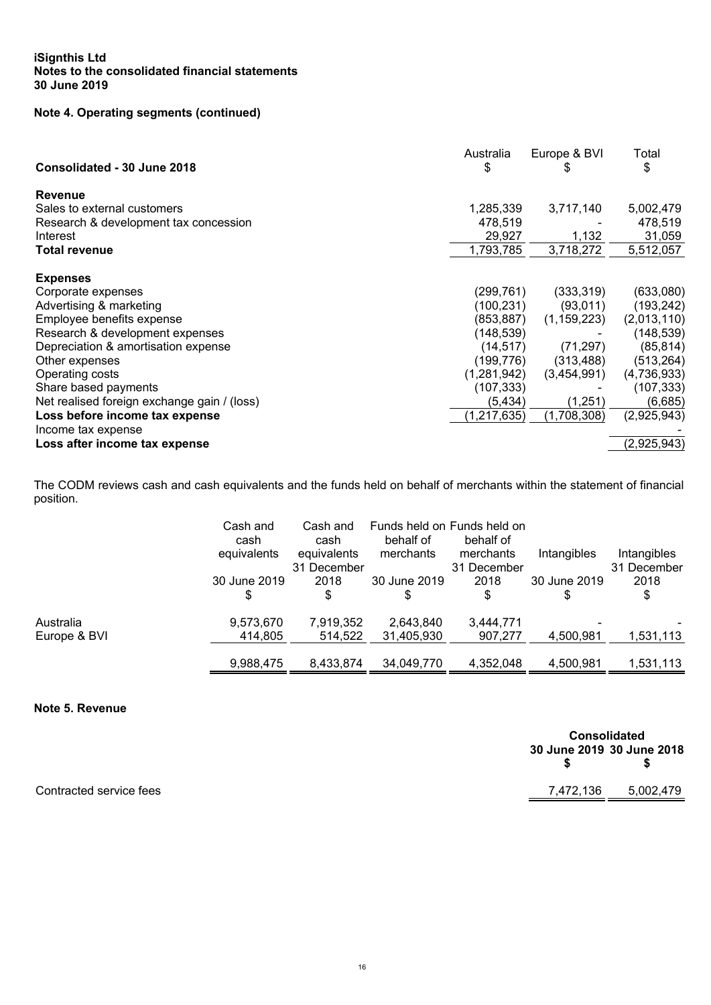# **Note 4. Operating segments (continued)**

| Consolidated - 30 June 2018                 | Australia<br>\$ | Europe & BVI<br>P | Total<br>\$ |
|---------------------------------------------|-----------------|-------------------|-------------|
| Revenue                                     |                 |                   |             |
| Sales to external customers                 | 1,285,339       | 3,717,140         | 5,002,479   |
| Research & development tax concession       | 478,519         |                   | 478,519     |
| Interest                                    | 29,927          | 1,132             | 31,059      |
| <b>Total revenue</b>                        | 1,793,785       | 3,718,272         | 5,512,057   |
| <b>Expenses</b>                             |                 |                   |             |
| Corporate expenses                          | (299,761)       | (333, 319)        | (633,080)   |
| Advertising & marketing                     | (100,231)       | (93,011)          | (193, 242)  |
| Employee benefits expense                   | (853, 887)      | (1, 159, 223)     | (2,013,110) |
| Research & development expenses             | (148,539)       |                   | (148, 539)  |
| Depreciation & amortisation expense         | (14, 517)       | (71, 297)         | (85, 814)   |
| Other expenses                              | (199,776)       | (313, 488)        | (513, 264)  |
| Operating costs                             | (1,281,942)     | (3,454,991)       | (4,736,933) |
| Share based payments                        | (107, 333)      |                   | (107, 333)  |
| Net realised foreign exchange gain / (loss) | (5, 434)        | (1,251)           | (6,685)     |
| Loss before income tax expense              | (1, 217, 635)   | (1,708,308)       | (2,925,943) |
| Income tax expense                          |                 |                   |             |
| Loss after income tax expense               |                 |                   | (2,925,943) |
|                                             |                 |                   |             |

The CODM reviews cash and cash equivalents and the funds held on behalf of merchants within the statement of financial position.

|                           | Cash and<br>cash<br>equivalents | Funds held on Funds held on<br>Cash and<br>behalf of<br>cash<br>equivalents<br>merchants<br>31.<br>December |                         | behalf of<br>merchants<br>31 December | Intangibles  | Intangibles<br>31 December |
|---------------------------|---------------------------------|-------------------------------------------------------------------------------------------------------------|-------------------------|---------------------------------------|--------------|----------------------------|
|                           | 30 June 2019<br>\$              | 2018<br>\$                                                                                                  | 30 June 2019            | 2018<br>\$                            | 30 June 2019 | 2018<br>\$                 |
| Australia<br>Europe & BVI | 9,573,670<br>414,805            | 7,919,352<br>514,522                                                                                        | 2,643,840<br>31,405,930 | 3,444,771<br>907,277                  | 4,500,981    | 1,531,113                  |
|                           | 9,988,475                       | 8,433,874                                                                                                   | 34,049,770              | 4,352,048                             | 4,500,981    | 1,531,113                  |

**Note 5. Revenue** 

| <b>Consolidated</b> |                           |  |  |  |  |  |  |
|---------------------|---------------------------|--|--|--|--|--|--|
|                     | 30 June 2019 30 June 2018 |  |  |  |  |  |  |
| \$                  | \$                        |  |  |  |  |  |  |
| 7,472,136           | 5,002,479                 |  |  |  |  |  |  |

Contracted service fees

 16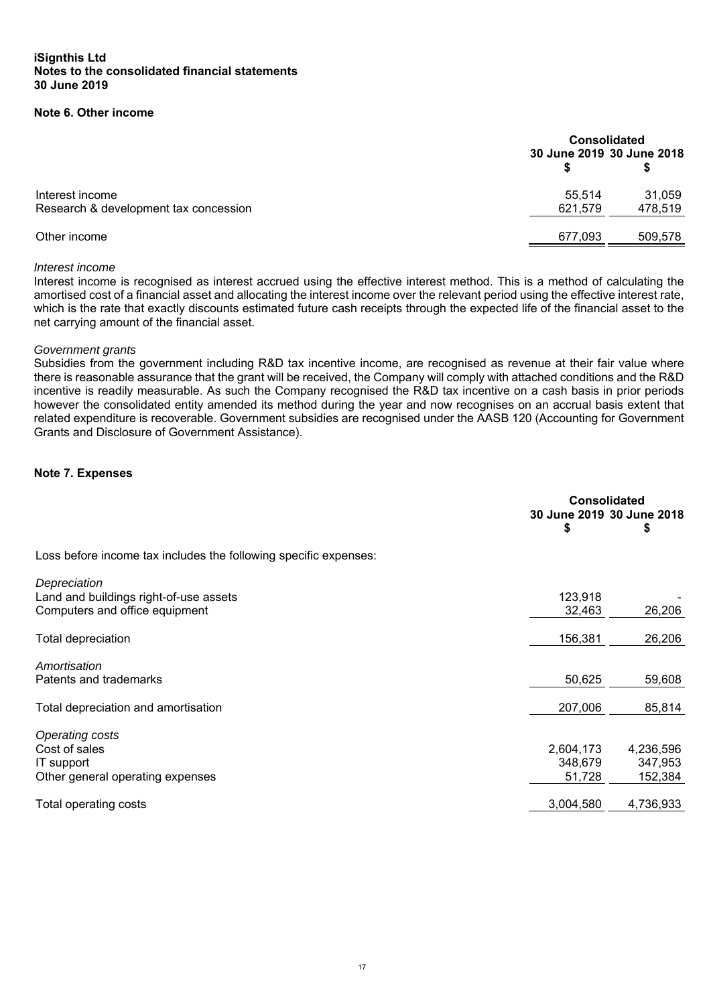# **Note 6. Other income**

|                                                          | <b>Consolidated</b><br>30 June 2019 30 June 2018 |                   |  |
|----------------------------------------------------------|--------------------------------------------------|-------------------|--|
| Interest income<br>Research & development tax concession | 55,514<br>621,579                                | 31,059<br>478,519 |  |
| Other income                                             | 677,093                                          | 509,578           |  |

#### *Interest income*

Interest income is recognised as interest accrued using the effective interest method. This is a method of calculating the amortised cost of a financial asset and allocating the interest income over the relevant period using the effective interest rate, which is the rate that exactly discounts estimated future cash receipts through the expected life of the financial asset to the net carrying amount of the financial asset.

#### *Government grants*

Subsidies from the government including R&D tax incentive income, are recognised as revenue at their fair value where there is reasonable assurance that the grant will be received, the Company will comply with attached conditions and the R&D incentive is readily measurable. As such the Company recognised the R&D tax incentive on a cash basis in prior periods however the consolidated entity amended its method during the year and now recognises on an accrual basis extent that related expenditure is recoverable. Government subsidies are recognised under the AASB 120 (Accounting for Government Grants and Disclosure of Government Assistance).

#### **Note 7. Expenses**

| <b>Consolidated</b> |                                        |
|---------------------|----------------------------------------|
| \$                  | S                                      |
|                     |                                        |
|                     |                                        |
| 123,918             |                                        |
| 32,463              | 26,206                                 |
| 156,381             | 26,206                                 |
|                     |                                        |
| 50,625              | 59,608                                 |
| 207,006             | 85,814                                 |
|                     |                                        |
|                     | 4,236,596                              |
| 348,679             | 347,953                                |
| 51,728              | 152,384                                |
| 3,004,580           | 4,736,933                              |
|                     | 30 June 2019 30 June 2018<br>2,604,173 |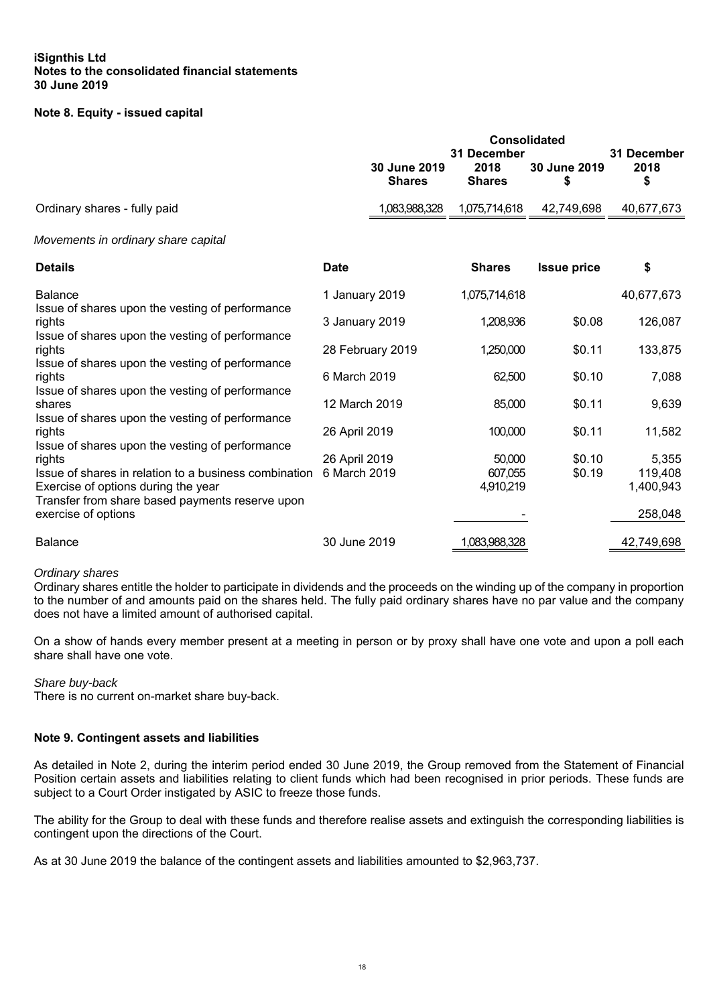# **Note 8. Equity - issued capital**

|                                                                                                                                                                                                                                                                                                     | <b>Consolidated</b><br>31 December |                               |                                | 31 December        |                                          |
|-----------------------------------------------------------------------------------------------------------------------------------------------------------------------------------------------------------------------------------------------------------------------------------------------------|------------------------------------|-------------------------------|--------------------------------|--------------------|------------------------------------------|
|                                                                                                                                                                                                                                                                                                     |                                    | 30 June 2019<br><b>Shares</b> | 2018<br><b>Shares</b>          | 30 June 2019<br>\$ | 2018<br>\$                               |
| Ordinary shares - fully paid                                                                                                                                                                                                                                                                        |                                    | 1,083,988,328                 | 1,075,714,618                  | 42,749,698         | 40,677,673                               |
| Movements in ordinary share capital                                                                                                                                                                                                                                                                 |                                    |                               |                                |                    |                                          |
| <b>Details</b>                                                                                                                                                                                                                                                                                      | <b>Date</b>                        |                               | <b>Shares</b>                  | <b>Issue price</b> | \$                                       |
| <b>Balance</b>                                                                                                                                                                                                                                                                                      | 1 January 2019                     |                               | 1,075,714,618                  |                    | 40,677,673                               |
| Issue of shares upon the vesting of performance<br>rights<br>Issue of shares upon the vesting of performance<br>rights<br>Issue of shares upon the vesting of performance<br>rights<br>Issue of shares upon the vesting of performance<br>shares<br>Issue of shares upon the vesting of performance | 3 January 2019                     |                               | 1,208,936                      | \$0.08             | 126,087                                  |
|                                                                                                                                                                                                                                                                                                     |                                    | 28 February 2019              | 1,250,000                      | \$0.11             | 133,875                                  |
|                                                                                                                                                                                                                                                                                                     | 6 March 2019                       |                               | 62,500                         | \$0.10             | 7,088                                    |
|                                                                                                                                                                                                                                                                                                     | 12 March 2019                      |                               | 85,000                         | \$0.11             | 9,639                                    |
| rights                                                                                                                                                                                                                                                                                              | 26 April 2019                      |                               | 100,000                        | \$0.11             | 11,582                                   |
| Issue of shares upon the vesting of performance<br>rights<br>Issue of shares in relation to a business combination<br>Exercise of options during the year<br>Transfer from share based payments reserve upon<br>exercise of options                                                                 | 26 April 2019<br>6 March 2019      |                               | 50,000<br>607,055<br>4,910,219 | \$0.10<br>\$0.19   | 5,355<br>119,408<br>1,400,943<br>258,048 |
| <b>Balance</b>                                                                                                                                                                                                                                                                                      | 30 June 2019                       |                               | 083,988,328                    |                    | 42,749,698                               |

# *Ordinary shares*

Ordinary shares entitle the holder to participate in dividends and the proceeds on the winding up of the company in proportion to the number of and amounts paid on the shares held. The fully paid ordinary shares have no par value and the company does not have a limited amount of authorised capital.

On a show of hands every member present at a meeting in person or by proxy shall have one vote and upon a poll each share shall have one vote.

#### *Share buy-back*

There is no current on-market share buy-back.

# **Note 9. Contingent assets and liabilities**

As detailed in Note 2, during the interim period ended 30 June 2019, the Group removed from the Statement of Financial Position certain assets and liabilities relating to client funds which had been recognised in prior periods. These funds are subject to a Court Order instigated by ASIC to freeze those funds.

The ability for the Group to deal with these funds and therefore realise assets and extinguish the corresponding liabilities is contingent upon the directions of the Court.

As at 30 June 2019 the balance of the contingent assets and liabilities amounted to \$2,963,737.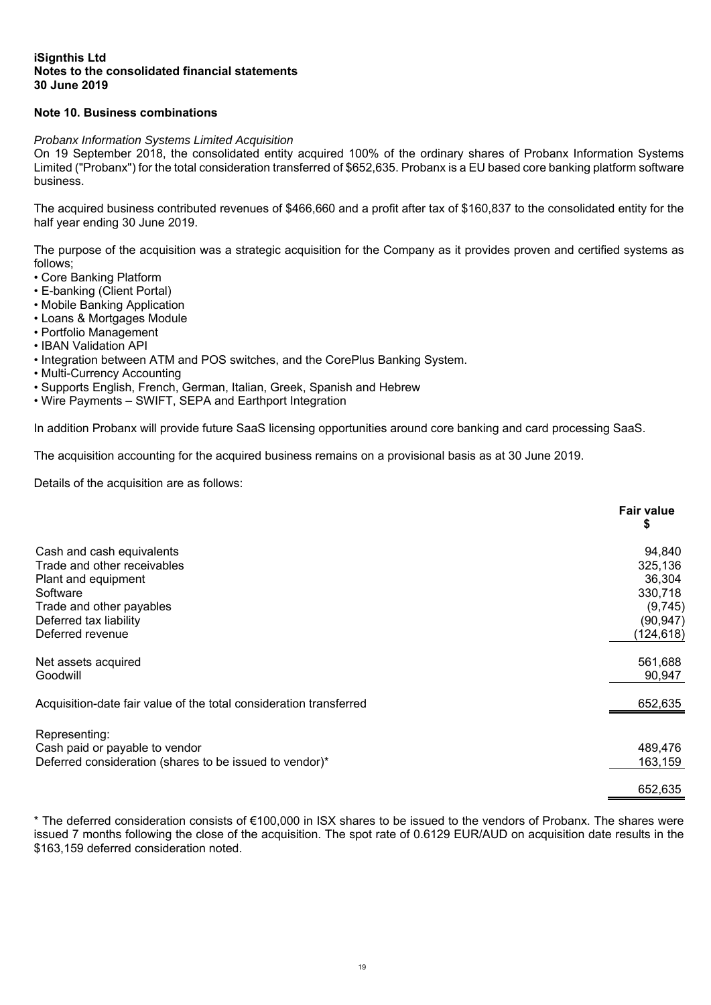# **Note 10. Business combinations**

## *Probanx Information Systems Limited Acquisition*

On 19 September 2018, the consolidated entity acquired 100% of the ordinary shares of Probanx Information Systems Limited ("Probanx") for the total consideration transferred of \$652,635. Probanx is a EU based core banking platform software business.

The acquired business contributed revenues of \$466,660 and a profit after tax of \$160,837 to the consolidated entity for the half year ending 30 June 2019.

The purpose of the acquisition was a strategic acquisition for the Company as it provides proven and certified systems as follows;

- Core Banking Platform
- E-banking (Client Portal)
- Mobile Banking Application
- Loans & Mortgages Module
- Portfolio Management
- IBAN Validation API
- Integration between ATM and POS switches, and the CorePlus Banking System.
- Multi-Currency Accounting
- Supports English, French, German, Italian, Greek, Spanish and Hebrew
- Wire Payments SWIFT, SEPA and Earthport Integration

In addition Probanx will provide future SaaS licensing opportunities around core banking and card processing SaaS.

The acquisition accounting for the acquired business remains on a provisional basis as at 30 June 2019.

Details of the acquisition are as follows:

|                                                                    | <b>Fair value</b><br>\$ |
|--------------------------------------------------------------------|-------------------------|
| Cash and cash equivalents                                          | 94,840                  |
| Trade and other receivables                                        | 325,136                 |
| Plant and equipment                                                | 36,304                  |
| Software                                                           | 330,718                 |
| Trade and other payables                                           | (9,745)                 |
| Deferred tax liability                                             | (90, 947)               |
| Deferred revenue                                                   | (124, 618)              |
| Net assets acquired                                                | 561,688                 |
| Goodwill                                                           | 90,947                  |
| Acquisition-date fair value of the total consideration transferred | 652,635                 |
| Representing:                                                      |                         |
| Cash paid or payable to vendor                                     | 489,476                 |
| Deferred consideration (shares to be issued to vendor)*            | 163,159                 |
|                                                                    | 652,635                 |

\* The deferred consideration consists of €100,000 in ISX shares to be issued to the vendors of Probanx. The shares were issued 7 months following the close of the acquisition. The spot rate of 0.6129 EUR/AUD on acquisition date results in the \$163,159 deferred consideration noted.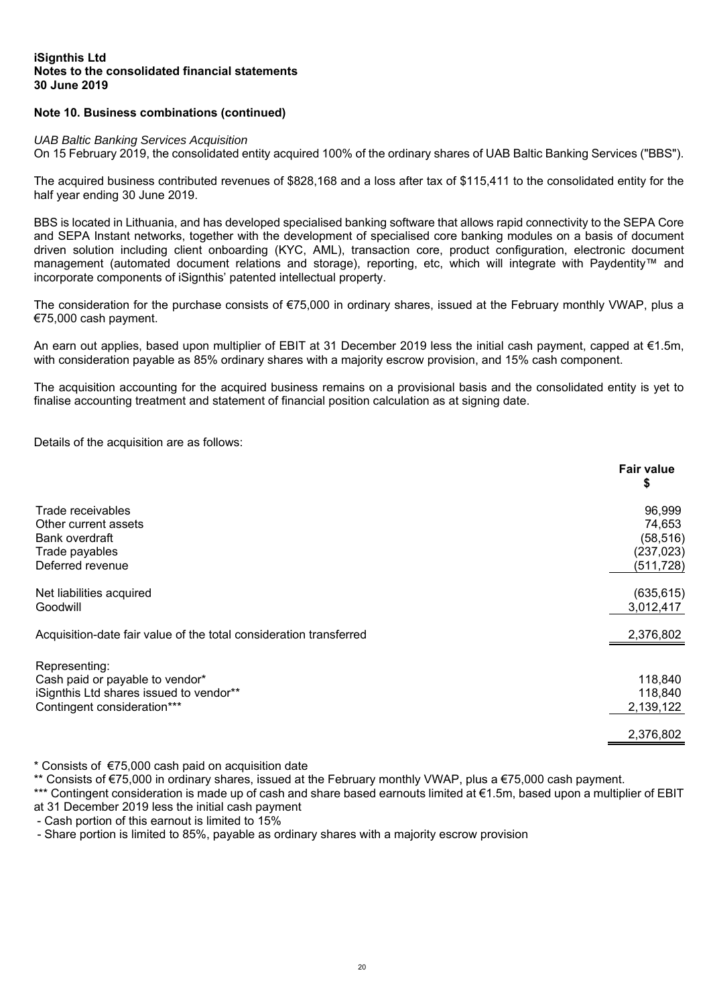# **Note 10. Business combinations (continued)**

#### *UAB Baltic Banking Services Acquisition*

On 15 February 2019, the consolidated entity acquired 100% of the ordinary shares of UAB Baltic Banking Services ("BBS").

The acquired business contributed revenues of \$828,168 and a loss after tax of \$115,411 to the consolidated entity for the half year ending 30 June 2019.

BBS is located in Lithuania, and has developed specialised banking software that allows rapid connectivity to the SEPA Core and SEPA Instant networks, together with the development of specialised core banking modules on a basis of document driven solution including client onboarding (KYC, AML), transaction core, product configuration, electronic document management (automated document relations and storage), reporting, etc, which will integrate with Paydentity™ and incorporate components of iSignthis' patented intellectual property.

The consideration for the purchase consists of €75,000 in ordinary shares, issued at the February monthly VWAP, plus a €75,000 cash payment.

An earn out applies, based upon multiplier of EBIT at 31 December 2019 less the initial cash payment, capped at €1.5m, with consideration payable as 85% ordinary shares with a majority escrow provision, and 15% cash component.

The acquisition accounting for the acquired business remains on a provisional basis and the consolidated entity is yet to finalise accounting treatment and statement of financial position calculation as at signing date.

Details of the acquisition are as follows:

|                                                                    | <b>Fair value</b><br>\$ |
|--------------------------------------------------------------------|-------------------------|
| Trade receivables                                                  | 96,999                  |
| Other current assets                                               | 74,653                  |
| Bank overdraft                                                     | (58, 516)               |
| Trade payables                                                     | (237, 023)              |
| Deferred revenue                                                   | (511, 728)              |
| Net liabilities acquired                                           | (635, 615)              |
| Goodwill                                                           | 3,012,417               |
| Acquisition-date fair value of the total consideration transferred | 2,376,802               |
| Representing:                                                      |                         |
| Cash paid or payable to vendor*                                    | 118,840                 |
| iSignthis Ltd shares issued to vendor**                            | 118,840                 |
| Contingent consideration***                                        | 2,139,122               |
|                                                                    | 2,376,802               |

\* Consists of €75,000 cash paid on acquisition date

\*\* Consists of €75,000 in ordinary shares, issued at the February monthly VWAP, plus a €75,000 cash payment.

\*\*\* Contingent consideration is made up of cash and share based earnouts limited at €1.5m, based upon a multiplier of EBIT at 31 December 2019 less the initial cash payment

- Cash portion of this earnout is limited to 15%

- Share portion is limited to 85%, payable as ordinary shares with a majority escrow provision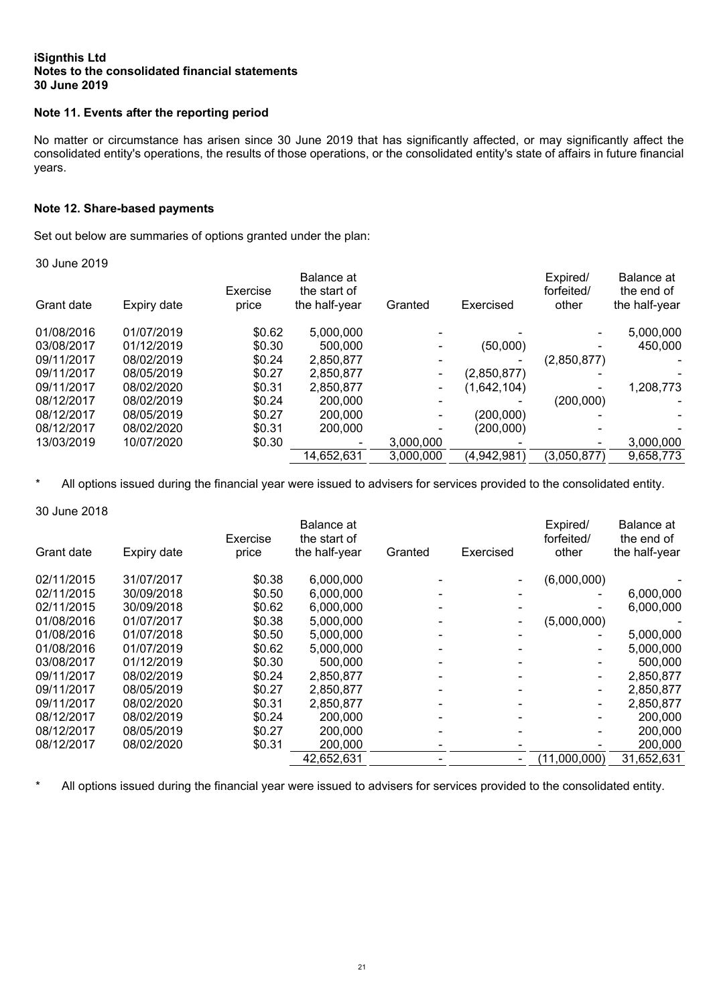# **Note 11. Events after the reporting period**

No matter or circumstance has arisen since 30 June 2019 that has significantly affected, or may significantly affect the consolidated entity's operations, the results of those operations, or the consolidated entity's state of affairs in future financial years.

# **Note 12. Share-based payments**

Set out below are summaries of options granted under the plan:

30 June 2019

| Grant date | Expiry date | Exercise<br>price | Balance at<br>the start of<br>the half-year | Granted   | Exercised   | Expired/<br>forfeited/<br>other | Balance at<br>the end of<br>the half-year |
|------------|-------------|-------------------|---------------------------------------------|-----------|-------------|---------------------------------|-------------------------------------------|
|            |             |                   |                                             |           |             |                                 |                                           |
| 01/08/2016 | 01/07/2019  | \$0.62            | 5,000,000                                   |           |             |                                 | 5,000,000                                 |
| 03/08/2017 | 01/12/2019  | \$0.30            | 500,000                                     |           | (50,000)    |                                 | 450,000                                   |
| 09/11/2017 | 08/02/2019  | \$0.24            | 2,850,877                                   |           |             | (2,850,877)                     |                                           |
| 09/11/2017 | 08/05/2019  | \$0.27            | 2,850,877                                   |           | (2,850,877) |                                 |                                           |
| 09/11/2017 | 08/02/2020  | \$0.31            | 2,850,877                                   |           | (1,642,104) |                                 | 1,208,773                                 |
| 08/12/2017 | 08/02/2019  | \$0.24            | 200,000                                     |           |             | (200,000)                       |                                           |
| 08/12/2017 | 08/05/2019  | \$0.27            | 200,000                                     |           | (200,000)   |                                 |                                           |
| 08/12/2017 | 08/02/2020  | \$0.31            | 200,000                                     |           | (200,000)   |                                 |                                           |
| 13/03/2019 | 10/07/2020  | \$0.30            |                                             | 3,000,000 |             |                                 | 3,000,000                                 |
|            |             |                   | 14,652,631                                  | 3,000,000 | (4,942,981) | (3,050,877)                     | 9,658,773                                 |
|            |             |                   |                                             |           |             |                                 |                                           |

\* All options issued during the financial year were issued to advisers for services provided to the consolidated entity.

#### 30 June 2018

|            |             | Exercise | Balance at<br>the start of |         |           | Expired/<br>forfeited/ | Balance at<br>the end of |
|------------|-------------|----------|----------------------------|---------|-----------|------------------------|--------------------------|
| Grant date | Expiry date | price    | the half-year              | Granted | Exercised | other                  | the half-year            |
| 02/11/2015 | 31/07/2017  | \$0.38   | 6,000,000                  |         |           | (6,000,000)            |                          |
| 02/11/2015 | 30/09/2018  | \$0.50   | 6,000,000                  |         |           |                        | 6,000,000                |
| 02/11/2015 | 30/09/2018  | \$0.62   | 6.000.000                  |         |           |                        | 6.000.000                |
| 01/08/2016 | 01/07/2017  | \$0.38   | 5,000,000                  |         |           | (5,000,000)            |                          |
| 01/08/2016 | 01/07/2018  | \$0.50   | 5,000,000                  |         |           |                        | 5,000,000                |
| 01/08/2016 | 01/07/2019  | \$0.62   | 5,000,000                  |         |           |                        | 5,000,000                |
| 03/08/2017 | 01/12/2019  | \$0.30   | 500,000                    |         |           |                        | 500,000                  |
| 09/11/2017 | 08/02/2019  | \$0.24   | 2,850,877                  |         |           |                        | 2,850,877                |
| 09/11/2017 | 08/05/2019  | \$0.27   | 2,850,877                  |         |           |                        | 2,850,877                |
| 09/11/2017 | 08/02/2020  | \$0.31   | 2,850,877                  |         |           |                        | 2,850,877                |
| 08/12/2017 | 08/02/2019  | \$0.24   | 200,000                    |         |           |                        | 200,000                  |
| 08/12/2017 | 08/05/2019  | \$0.27   | 200,000                    |         |           |                        | 200,000                  |
| 08/12/2017 | 08/02/2020  | \$0.31   | 200,000                    |         |           |                        | 200,000                  |
|            |             |          | 42,652,631                 |         |           | (11,000,000)           | 31,652,631               |

\* All options issued during the financial year were issued to advisers for services provided to the consolidated entity.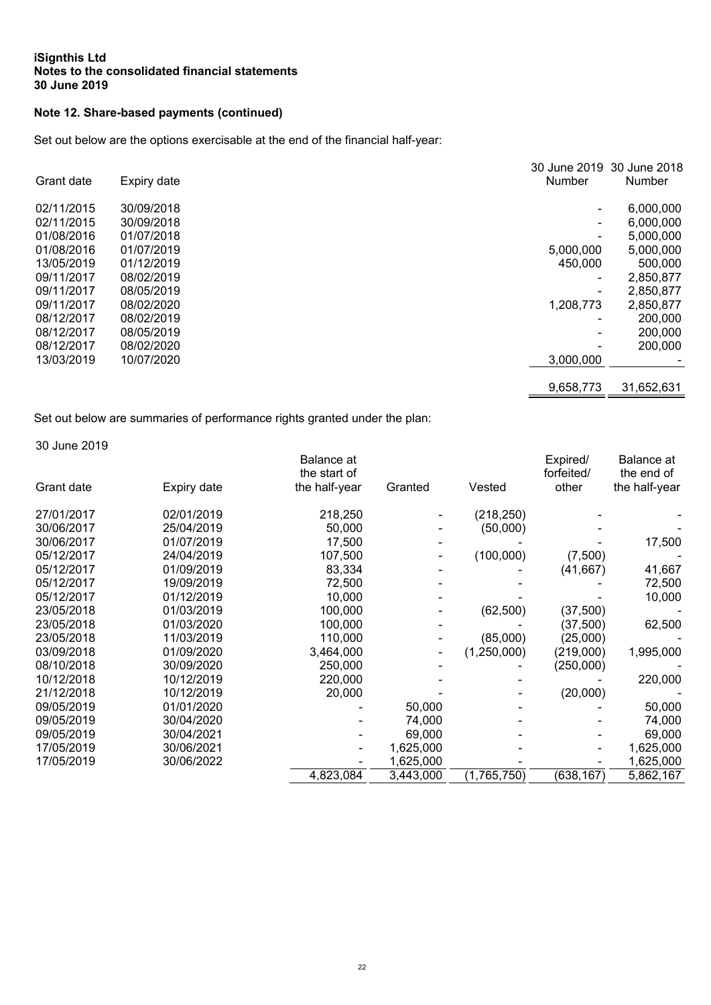# **Note 12. Share-based payments (continued)**

Set out below are the options exercisable at the end of the financial half-year:

| Grant date | Expiry date | <b>Number</b> | 30 June 2019 30 June 2018<br>Number |
|------------|-------------|---------------|-------------------------------------|
| 02/11/2015 | 30/09/2018  |               | 6,000,000                           |
| 02/11/2015 | 30/09/2018  |               | 6,000,000                           |
| 01/08/2016 | 01/07/2018  | -             | 5,000,000                           |
| 01/08/2016 | 01/07/2019  | 5,000,000     | 5,000,000                           |
| 13/05/2019 | 01/12/2019  | 450,000       | 500,000                             |
| 09/11/2017 | 08/02/2019  | -             | 2,850,877                           |
| 09/11/2017 | 08/05/2019  |               | 2,850,877                           |
| 09/11/2017 | 08/02/2020  | 1,208,773     | 2,850,877                           |
| 08/12/2017 | 08/02/2019  | -             | 200,000                             |
| 08/12/2017 | 08/05/2019  |               | 200,000                             |
| 08/12/2017 | 08/02/2020  |               | 200,000                             |
| 13/03/2019 | 10/07/2020  | 3.000.000     |                                     |
|            |             |               |                                     |
|            |             | 9,658,773     | 31,652,631                          |

Set out below are summaries of performance rights granted under the plan:

30 June 2019

|            |             | Balance at<br>the start of |           |             | Expired/<br>forfeited/ | Balance at<br>the end of |
|------------|-------------|----------------------------|-----------|-------------|------------------------|--------------------------|
| Grant date | Expiry date | the half-year              | Granted   | Vested      | other                  | the half-year            |
| 27/01/2017 | 02/01/2019  | 218,250                    |           | (218, 250)  |                        |                          |
| 30/06/2017 | 25/04/2019  | 50,000                     |           | (50,000)    |                        |                          |
| 30/06/2017 | 01/07/2019  | 17,500                     |           |             |                        | 17,500                   |
| 05/12/2017 | 24/04/2019  | 107,500                    |           | (100,000)   | (7,500)                |                          |
| 05/12/2017 | 01/09/2019  | 83,334                     |           |             | (41, 667)              | 41,667                   |
| 05/12/2017 | 19/09/2019  | 72,500                     |           |             |                        | 72,500                   |
| 05/12/2017 | 01/12/2019  | 10,000                     |           |             |                        | 10,000                   |
| 23/05/2018 | 01/03/2019  | 100,000                    |           | (62, 500)   | (37, 500)              |                          |
| 23/05/2018 | 01/03/2020  | 100,000                    |           |             | (37,500)               | 62,500                   |
| 23/05/2018 | 11/03/2019  | 110,000                    |           | (85,000)    | (25,000)               |                          |
| 03/09/2018 | 01/09/2020  | 3,464,000                  |           | (1,250,000) | (219,000)              | 1,995,000                |
| 08/10/2018 | 30/09/2020  | 250,000                    |           |             | (250,000)              |                          |
| 10/12/2018 | 10/12/2019  | 220,000                    |           |             |                        | 220,000                  |
| 21/12/2018 | 10/12/2019  | 20,000                     |           |             | (20,000)               |                          |
| 09/05/2019 | 01/01/2020  |                            | 50,000    |             |                        | 50,000                   |
| 09/05/2019 | 30/04/2020  |                            | 74,000    |             |                        | 74,000                   |
| 09/05/2019 | 30/04/2021  |                            | 69,000    |             |                        | 69,000                   |
| 17/05/2019 | 30/06/2021  |                            | 1,625,000 |             |                        | 1,625,000                |
| 17/05/2019 | 30/06/2022  |                            | 1,625,000 |             |                        | 1,625,000                |
|            |             | 4,823,084                  | 3,443,000 | (1,765,750) | (638, 167)             | 5,862,167                |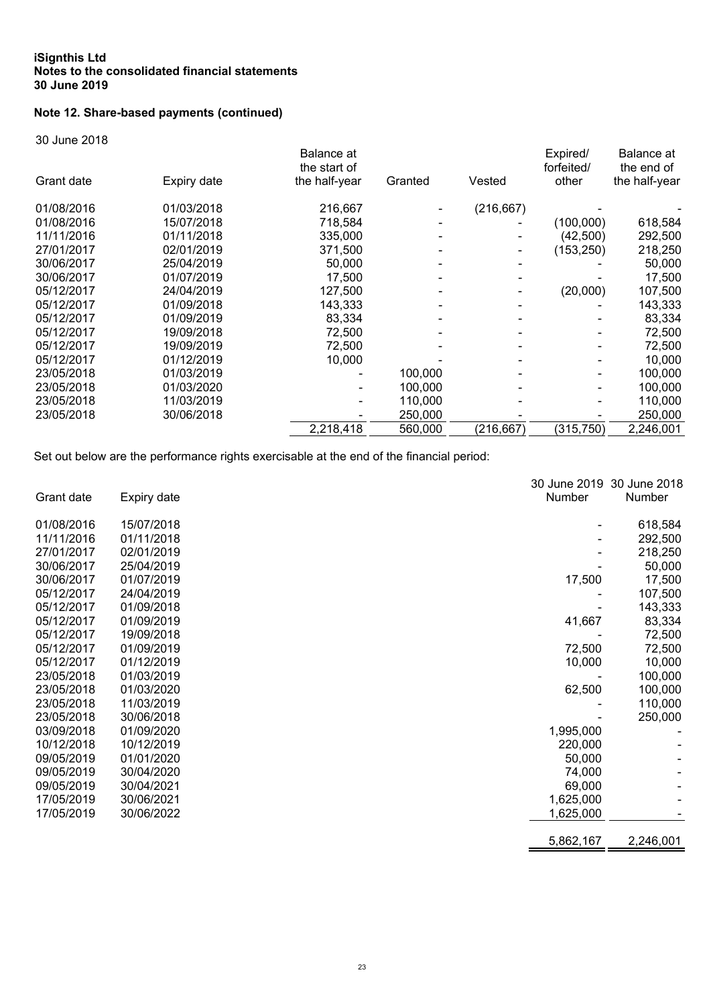# **Note 12. Share-based payments (continued)**

30 June 2018

|            |             | Balance at<br>the start of |         |            | Expired/<br>forfeited/ | Balance at<br>the end of |
|------------|-------------|----------------------------|---------|------------|------------------------|--------------------------|
| Grant date | Expiry date | the half-year              | Granted | Vested     | other                  | the half-year            |
| 01/08/2016 | 01/03/2018  | 216,667                    |         | (216, 667) |                        |                          |
| 01/08/2016 | 15/07/2018  | 718,584                    |         |            | (100,000)              | 618,584                  |
| 11/11/2016 | 01/11/2018  | 335,000                    |         |            | (42, 500)              | 292,500                  |
| 27/01/2017 | 02/01/2019  | 371,500                    |         |            | (153, 250)             | 218,250                  |
| 30/06/2017 | 25/04/2019  | 50,000                     |         |            |                        | 50,000                   |
| 30/06/2017 | 01/07/2019  | 17,500                     |         |            |                        | 17,500                   |
| 05/12/2017 | 24/04/2019  | 127,500                    |         |            | (20,000)               | 107,500                  |
| 05/12/2017 | 01/09/2018  | 143,333                    |         |            |                        | 143,333                  |
| 05/12/2017 | 01/09/2019  | 83,334                     |         |            |                        | 83,334                   |
| 05/12/2017 | 19/09/2018  | 72,500                     |         |            |                        | 72,500                   |
| 05/12/2017 | 19/09/2019  | 72,500                     |         |            |                        | 72,500                   |
| 05/12/2017 | 01/12/2019  | 10,000                     |         |            |                        | 10.000                   |
| 23/05/2018 | 01/03/2019  |                            | 100.000 |            |                        | 100,000                  |
| 23/05/2018 | 01/03/2020  |                            | 100,000 |            |                        | 100,000                  |
| 23/05/2018 | 11/03/2019  |                            | 110,000 |            |                        | 110,000                  |
| 23/05/2018 | 30/06/2018  |                            | 250,000 |            |                        | 250,000                  |
|            |             | 2,218,418                  | 560,000 | (216, 667) | (315, 750)             | 2,246,001                |
|            |             |                            |         |            |                        |                          |

Set out below are the performance rights exercisable at the end of the financial period:

|            |             |           | 30 June 2019 30 June 2018 |
|------------|-------------|-----------|---------------------------|
| Grant date | Expiry date | Number    | Number                    |
| 01/08/2016 | 15/07/2018  |           | 618,584                   |
| 11/11/2016 | 01/11/2018  |           | 292,500                   |
| 27/01/2017 | 02/01/2019  |           | 218,250                   |
| 30/06/2017 | 25/04/2019  |           | 50,000                    |
| 30/06/2017 | 01/07/2019  | 17,500    | 17,500                    |
| 05/12/2017 | 24/04/2019  |           | 107,500                   |
| 05/12/2017 | 01/09/2018  |           | 143,333                   |
| 05/12/2017 | 01/09/2019  | 41,667    | 83,334                    |
| 05/12/2017 | 19/09/2018  |           | 72,500                    |
| 05/12/2017 | 01/09/2019  | 72,500    | 72,500                    |
| 05/12/2017 | 01/12/2019  | 10,000    | 10,000                    |
| 23/05/2018 | 01/03/2019  |           | 100,000                   |
| 23/05/2018 | 01/03/2020  | 62,500    | 100,000                   |
| 23/05/2018 | 11/03/2019  |           | 110,000                   |
| 23/05/2018 | 30/06/2018  |           | 250,000                   |
| 03/09/2018 | 01/09/2020  | 1,995,000 |                           |
| 10/12/2018 | 10/12/2019  | 220,000   |                           |
| 09/05/2019 | 01/01/2020  | 50,000    |                           |
| 09/05/2019 | 30/04/2020  | 74,000    |                           |
| 09/05/2019 | 30/04/2021  | 69,000    |                           |
| 17/05/2019 | 30/06/2021  | 1,625,000 |                           |
| 17/05/2019 | 30/06/2022  | 1,625,000 |                           |
|            |             | 5,862,167 | 2,246,001                 |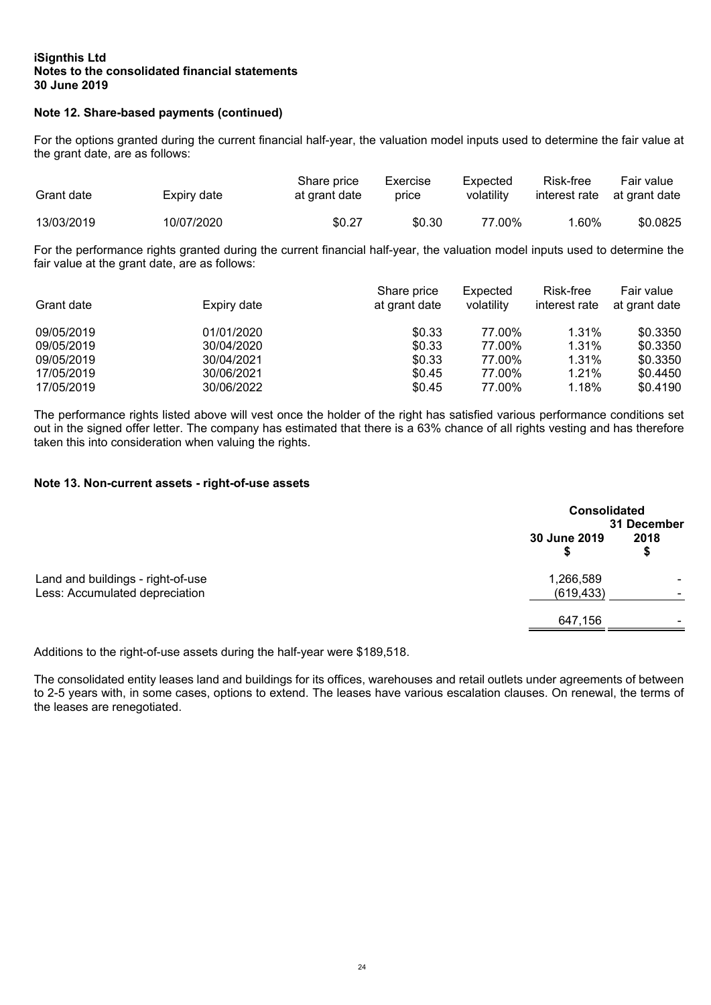# **Note 12. Share-based payments (continued)**

For the options granted during the current financial half-year, the valuation model inputs used to determine the fair value at the grant date, are as follows:

| Grant date | Expiry date | Share price<br>at grant date | Exercise<br>price | Expected<br>volatility | Risk-free<br>interest rate | Fair value<br>at grant date |
|------------|-------------|------------------------------|-------------------|------------------------|----------------------------|-----------------------------|
| 13/03/2019 | 10/07/2020  | \$0.27                       | \$0.30            | 77.00%                 | ' .60%                     | \$0.0825                    |

For the performance rights granted during the current financial half-year, the valuation model inputs used to determine the fair value at the grant date, are as follows:

| Grant date | Expiry date | Share price<br>at grant date | Expected<br>volatility | Risk-free<br>interest rate | Fair value<br>at grant date |
|------------|-------------|------------------------------|------------------------|----------------------------|-----------------------------|
| 09/05/2019 | 01/01/2020  | \$0.33                       | 77.00%                 | 1.31%                      | \$0.3350                    |
| 09/05/2019 | 30/04/2020  | \$0.33                       | 77.00%                 | 1.31%                      | \$0.3350                    |
| 09/05/2019 | 30/04/2021  | \$0.33                       | 77.00%                 | $1.31\%$                   | \$0.3350                    |
| 17/05/2019 | 30/06/2021  | \$0.45                       | 77.00%                 | 1.21%                      | \$0.4450                    |
| 17/05/2019 | 30/06/2022  | \$0.45                       | 77.00%                 | 1.18%                      | \$0.4190                    |

The performance rights listed above will vest once the holder of the right has satisfied various performance conditions set out in the signed offer letter. The company has estimated that there is a 63% chance of all rights vesting and has therefore taken this into consideration when valuing the rights.

# **Note 13. Non-current assets - right-of-use assets**

|                                                                     |                         | <b>Consolidated</b><br>31 December |  |  |
|---------------------------------------------------------------------|-------------------------|------------------------------------|--|--|
|                                                                     | 30 June 2019            | 2018<br>\$                         |  |  |
| Land and buildings - right-of-use<br>Less: Accumulated depreciation | 1,266,589<br>(619, 433) |                                    |  |  |
|                                                                     | 647,156                 |                                    |  |  |

Additions to the right-of-use assets during the half-year were \$189,518.

The consolidated entity leases land and buildings for its offices, warehouses and retail outlets under agreements of between to 2-5 years with, in some cases, options to extend. The leases have various escalation clauses. On renewal, the terms of the leases are renegotiated.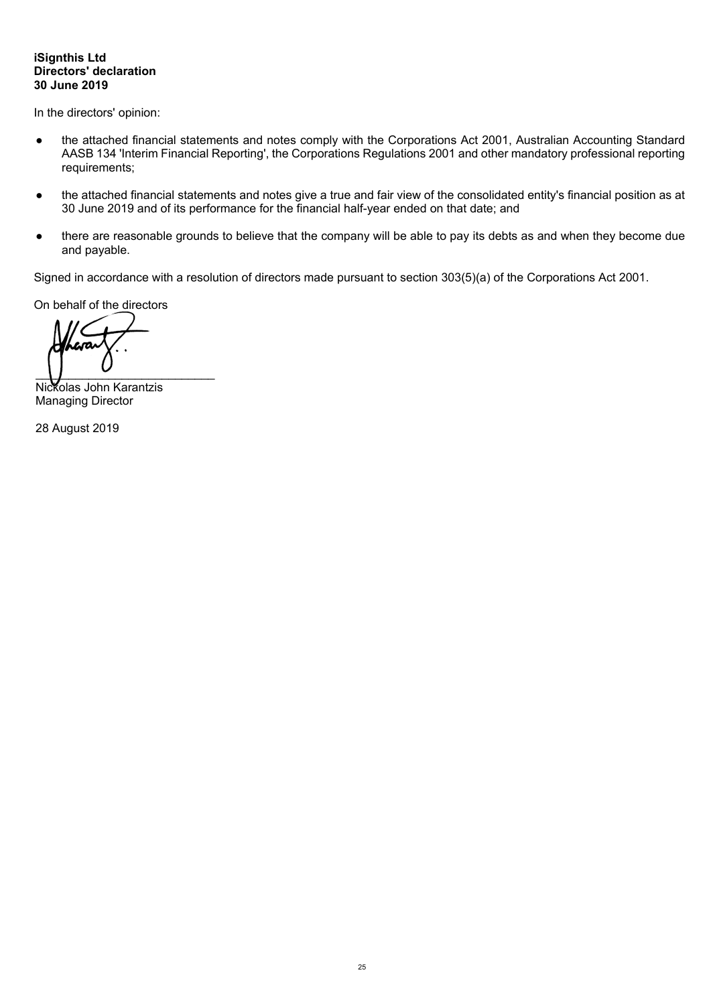# **iSignthis Ltd Directors' declaration 30 June 2019**

In the directors' opinion:

- the attached financial statements and notes comply with the Corporations Act 2001, Australian Accounting Standard AASB 134 'Interim Financial Reporting', the Corporations Regulations 2001 and other mandatory professional reporting requirements;
- the attached financial statements and notes give a true and fair view of the consolidated entity's financial position as at 30 June 2019 and of its performance for the financial half-year ended on that date; and
- there are reasonable grounds to believe that the company will be able to pay its debts as and when they become due and payable.

Signed in accordance with a resolution of directors made pursuant to section 303(5)(a) of the Corporations Act 2001.

On behalf of the directors

 $\bigcup$ 

Nickolas John Karantzis Managing Director

28 August 2019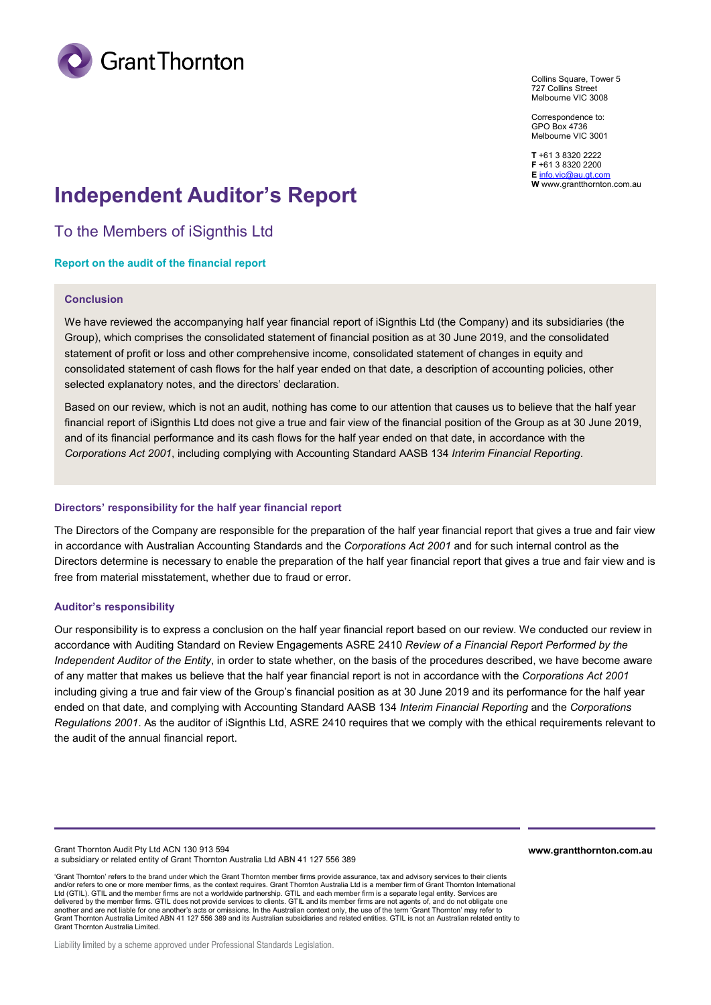

Collins Square, Tower 5 727 Collins Street Melbourne VIC 3008

Correspondence to: GPO Box 4736 Melbourne VIC 3001

**T** +61 3 8320 2222 **F** +61 3 8320 2200 **E** [info.vic@au.gt.com](mailto:info.vic@au.gt.com) **W** www.grantthornton.com.au

# **Independent Auditor's Report**

To the Members of iSignthis Ltd

#### **Report on the audit of the financial report**

#### **Conclusion**

We have reviewed the accompanying half year financial report of iSignthis Ltd (the Company) and its subsidiaries (the Group), which comprises the consolidated statement of financial position as at 30 June 2019, and the consolidated statement of profit or loss and other comprehensive income, consolidated statement of changes in equity and consolidated statement of cash flows for the half year ended on that date, a description of accounting policies, other selected explanatory notes, and the directors' declaration.

Based on our review, which is not an audit, nothing has come to our attention that causes us to believe that the half year financial report of iSignthis Ltd does not give a true and fair view of the financial position of the Group as at 30 June 2019, and of its financial performance and its cash flows for the half year ended on that date, in accordance with the *Corporations Act 2001*, including complying with Accounting Standard AASB 134 *Interim Financial Reporting*.

#### **Directors' responsibility for the half year financial report**

The Directors of the Company are responsible for the preparation of the half year financial report that gives a true and fair view in accordance with Australian Accounting Standards and the *Corporations Act 2001* and for such internal control as the Directors determine is necessary to enable the preparation of the half year financial report that gives a true and fair view and is free from material misstatement, whether due to fraud or error.

#### **Auditor's responsibility**

Our responsibility is to express a conclusion on the half year financial report based on our review. We conducted our review in accordance with Auditing Standard on Review Engagements ASRE 2410 *Review of a Financial Report Performed by the Independent Auditor of the Entity*, in order to state whether, on the basis of the procedures described, we have become aware of any matter that makes us believe that the half year financial report is not in accordance with the *Corporations Act 2001* including giving a true and fair view of the Group's financial position as at 30 June 2019 and its performance for the half year ended on that date, and complying with Accounting Standard AASB 134 *Interim Financial Reporting* and the *Corporations Regulations 2001*. As the auditor of iSignthis Ltd, ASRE 2410 requires that we comply with the ethical requirements relevant to the audit of the annual financial report.

Grant Thornton Audit Pty Ltd ACN 130 913 594 a subsidiary or related entity of Grant Thornton Australia Ltd ABN 41 127 556 389 **www.grantthornton.com.au**

'Grant Thornton' refers to the brand under which the Grant Thornton member firms provide assurance, tax and advisory services to their clients and/or refers to one or more member firms, as the context requires. Grant Thornton Australia Ltd is a member firm of Grant Thornton International Ltd (GTIL). GTIL and the member firms are not a worldwide partnership. GTIL and each member firm is a separate legal entity. Services are delivered by the member firms. GTIL does not provide services to clients. GTIL and its member firms are not agents of, and do not obligate one<br>another and are not liable for one another's acts or omissions. In the Australi another and are not liable for one another's acts or omissions. In the Australian context only, the use of the ter Grant Thornton Australia Limited ABN 41 127 556 389 and its Australian subsidiaries and related entities. GTIL is not an Australian related entity to Grant Thornton Australia Limited.

Liability limited by a scheme approved under Professional Standards Legislation.